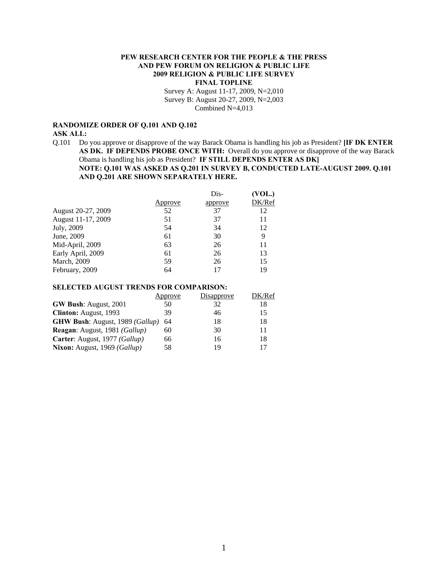# **PEW RESEARCH CENTER FOR THE PEOPLE & THE PRESS AND PEW FORUM ON RELIGION & PUBLIC LIFE 2009 RELIGION & PUBLIC LIFE SURVEY FINAL TOPLINE**

Survey A: August 11-17, 2009, N=2,010 Survey B: August 20-27, 2009, N=2,003 Combined N=4,013

# **RANDOMIZE ORDER OF Q.101 AND Q.102 ASK ALL:**

Q.101 Do you approve or disapprove of the way Barack Obama is handling his job as President? **[IF DK ENTER AS DK. IF DEPENDS PROBE ONCE WITH:** Overall do you approve or disapprove of the way Barack Obama is handling his job as President? **IF STILL DEPENDS ENTER AS DK] NOTE: Q.101 WAS ASKED AS Q.201 IN SURVEY B, CONDUCTED LATE-AUGUST 2009. Q.101 AND Q.201 ARE SHOWN SEPARATELY HERE.** 

|                    |        | Dis-    | (VOL.) |
|--------------------|--------|---------|--------|
|                    | pprove | approve | DK/Ref |
| August 20-27, 2009 | 52     | 37      | 12     |
| August 11-17, 2009 | 51     | 37      | 11     |
| July, 2009         | 54     | 34      | 12     |
| June, 2009         | 61     | 30      | 9      |
| Mid-April, 2009    | 63     | 26      | 11     |
| Early April, 2009  | 61     | 26      | 13     |
| March, 2009        | 59     | 26      | 15     |
| February, 2009     | 64     | 17      | 19     |

# **SELECTED AUGUST TRENDS FOR COMPARISON:**

|                                                 | Approve | Disapprove | DK/Ref |
|-------------------------------------------------|---------|------------|--------|
| <b>GW Bush: August, 2001</b>                    | 50      | 32         | 18     |
| <b>Clinton:</b> August, 1993                    | 39      | 46         | 15     |
| <b>GHW Bush:</b> August, 1989 ( <i>Gallup</i> ) | 64      | 18         | 18     |
| Reagan: August, 1981 (Gallup)                   | 60      | 30         | 11     |
| Carter: August, 1977 (Gallup)                   | 66      | 16         | 18     |
| <b>Nixon:</b> August, 1969 (Gallup)             | 58      | 19         |        |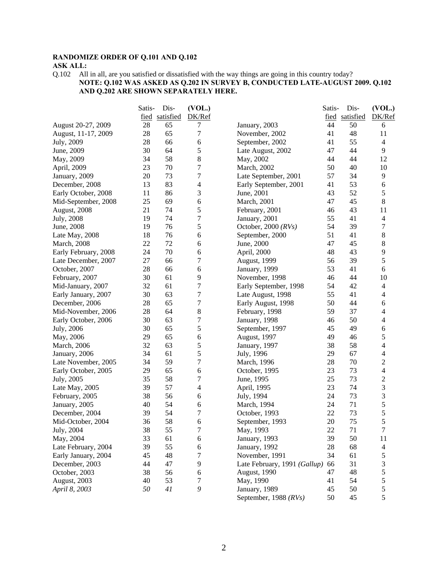#### **RANDOMIZE ORDER OF Q.101 AND Q.102 ASK ALL:**

Q.102 All in all, are you satisfied or dissatisfied with the way things are going in this country today? **NOTE: Q.102 WAS ASKED AS Q.202 IN SURVEY B, CONDUCTED LATE-AUGUST 2009. Q.102 AND Q.202 ARE SHOWN SEPARATELY HERE.**

|                      | Satis- | Dis-           | (VOL.)         |                              | Satis- | Dis-           | (VOL.)                   |
|----------------------|--------|----------------|----------------|------------------------------|--------|----------------|--------------------------|
|                      |        | fied satisfied | DK/Ref         |                              |        | fied satisfied | DK/Ref                   |
| August 20-27, 2009   | 28     | 65             | 7              | January, 2003                | 44     | 50             | 6                        |
| August, 11-17, 2009  | 28     | 65             | 7              | November, 2002               | 41     | 48             | 11                       |
| July, 2009           | 28     | 66             | 6              | September, 2002              | 41     | 55             | $\overline{4}$           |
| June, 2009           | 30     | 64             | 5              | Late August, 2002            | 47     | 44             | 9                        |
| May, 2009            | 34     | 58             | 8              | May, 2002                    | 44     | 44             | 12                       |
| April, 2009          | 23     | 70             | 7              | March, 2002                  | 50     | 40             | 10                       |
| January, 2009        | 20     | 73             | $\tau$         | Late September, 2001         | 57     | 34             | 9                        |
| December, 2008       | 13     | 83             | $\overline{4}$ | Early September, 2001        | 41     | 53             | 6                        |
| Early October, 2008  | 11     | 86             | 3              | June, 2001                   | 43     | 52             | 5                        |
| Mid-September, 2008  | 25     | 69             | 6              | March, 2001                  | 47     | 45             | 8                        |
| August, 2008         | 21     | 74             | 5              | February, 2001               | 46     | 43             | 11                       |
| July, 2008           | 19     | 74             | 7              | January, 2001                | 55     | 41             | $\overline{4}$           |
| June, 2008           | 19     | 76             | 5              | October, 2000 $(RVs)$        | 54     | 39             | 7                        |
| Late May, 2008       | 18     | 76             | 6              | September, 2000              | 51     | 41             | 8                        |
| <b>March</b> , 2008  | 22     | 72             | 6              | June, 2000                   | 47     | 45             | 8                        |
| Early February, 2008 | 24     | 70             | 6              | April, 2000                  | 48     | 43             | 9                        |
| Late December, 2007  | 27     | 66             | 7              | August, 1999                 | 56     | 39             | 5                        |
| October, 2007        | 28     | 66             | 6              | January, 1999                | 53     | 41             | 6                        |
| February, 2007       | 30     | 61             | 9              | November, 1998               | 46     | 44             | 10                       |
| Mid-January, 2007    | 32     | 61             | $\tau$         | Early September, 1998        | 54     | 42             | $\overline{4}$           |
| Early January, 2007  | 30     | 63             | $\tau$         | Late August, 1998            | 55     | 41             | $\overline{4}$           |
| December, 2006       | 28     | 65             | $\tau$         | Early August, 1998           | 50     | 44             | 6                        |
| Mid-November, 2006   | 28     | 64             | 8              | February, 1998               | 59     | 37             | $\overline{\mathcal{L}}$ |
| Early October, 2006  | 30     | 63             | 7              | January, 1998                | 46     | 50             | 4                        |
| July, 2006           | 30     | 65             | 5              | September, 1997              | 45     | 49             | 6                        |
| May, 2006            | 29     | 65             | 6              | August, 1997                 | 49     | 46             | 5                        |
| March, 2006          | 32     | 63             | 5              | January, 1997                | 38     | 58             | 4                        |
| January, 2006        | 34     | 61             | 5              | July, 1996                   | 29     | 67             | 4                        |
| Late November, 2005  | 34     | 59             | 7              | March, 1996                  | 28     | 70             | $\overline{c}$           |
| Early October, 2005  | 29     | 65             | 6              | October, 1995                | 23     | 73             | $\overline{\mathcal{L}}$ |
| July, 2005           | 35     | 58             | 7              | June, 1995                   | 25     | 73             | $\overline{c}$           |
| Late May, 2005       | 39     | 57             | $\overline{4}$ | April, 1995                  | 23     | 74             | 3                        |
| February, 2005       | 38     | 56             | 6              | July, 1994                   | 24     | 73             | 3                        |
| January, 2005        | 40     | 54             | 6              | March, 1994                  | 24     | 71             | 5                        |
| December, 2004       | 39     | 54             | 7              | October, 1993                | 22     | 73             | 5                        |
| Mid-October, 2004    | 36     | 58             | 6              | September, 1993              | 20     | 75             | 5                        |
| July, 2004           | 38     | 55             | 7              | May, 1993                    | 22     | 71             | $\tau$                   |
| May, 2004            | 33     | 61             | 6              | January, 1993                | 39     | 50             | 11                       |
| Late February, 2004  | 39     | 55             | 6              | January, 1992                | 28     | 68             | $\overline{\mathcal{L}}$ |
| Early January, 2004  | 45     | 48             | 7              | November, 1991               | 34     | 61             | 5                        |
| December, 2003       | 44     | 47             | $\mathbf{9}$   | Late February, 1991 (Gallup) | 66     | 31             | 3                        |
| October, 2003        | 38     | 56             | 6              | August, 1990                 | 47     | 48             | 5                        |
| August, 2003         | 40     | 53             | 7              | May, 1990                    | 41     | 54             | 5                        |
| April 8, 2003        | 50     | 41             | $\mathfrak g$  | January, 1989                | 45     | 50             | $\mathfrak s$            |
|                      |        |                |                | September, 1988 (RVs)        | 50     | 45             | 5                        |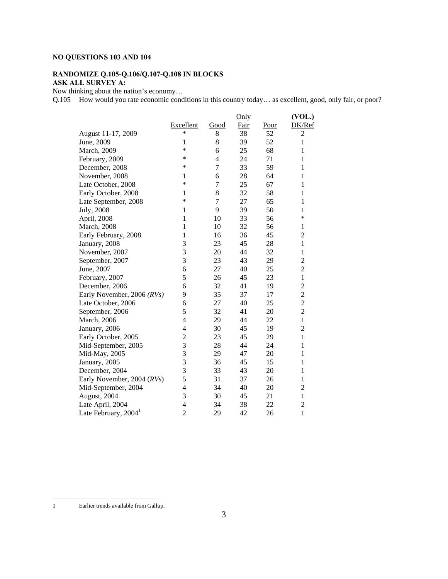# **NO QUESTIONS 103 AND 104**

# **RANDOMIZE Q.105-Q.106/Q.107-Q.108 IN BLOCKS**

# **ASK ALL SURVEY A:**

Now thinking about the nation's economy…

Q.105 How would you rate economic conditions in this country today… as excellent, good, only fair, or poor?

|                                  |                |                | Only        |             | (VOL.)         |
|----------------------------------|----------------|----------------|-------------|-------------|----------------|
|                                  | Excellent      | Good           | <b>Fair</b> | <u>Poor</u> | DK/Ref         |
| August 11-17, 2009               | *              | 8              | 38          | 52          | $\overline{2}$ |
| June, 2009                       | 1              | 8              | 39          | 52          | 1              |
| March, 2009                      | $\ast$         | 6              | 25          | 68          | 1              |
| February, 2009                   | *              | 4              | 24          | 71          | 1              |
| December, 2008                   | *              | $\overline{7}$ | 33          | 59          | 1              |
| November, 2008                   | 1              | 6              | 28          | 64          | 1              |
| Late October, 2008               | *              | 7              | 25          | 67          | 1              |
| Early October, 2008              | 1              | 8              | 32          | 58          | 1              |
| Late September, 2008             | *              | 7              | 27          | 65          | 1              |
| July, 2008                       | 1              | 9              | 39          | 50          | 1              |
| April, 2008                      | 1              | 10             | 33          | 56          | *              |
| March, 2008                      | 1              | 10             | 32          | 56          | 1              |
| Early February, 2008             | 1              | 16             | 36          | 45          | $\overline{2}$ |
| January, 2008                    | 3              | 23             | 45          | 28          | $\mathbf{1}$   |
| November, 2007                   | 3              | 20             | 44          | 32          | 1              |
| September, 2007                  | 3              | 23             | 43          | 29          | $\overline{c}$ |
| June, 2007                       | 6              | 27             | 40          | 25          | $\overline{2}$ |
| February, 2007                   | 5              | 26             | 45          | 23          | $\mathbf{1}$   |
| December, 2006                   | 6              | 32             | 41          | 19          | $\overline{c}$ |
| Early November, 2006 (RVs)       | 9              | 35             | 37          | 17          | $\overline{c}$ |
| Late October, 2006               | 6              | 27             | 40          | 25          | $\overline{c}$ |
| September, 2006                  | 5              | 32             | 41          | 20          | $\overline{2}$ |
| March, 2006                      | 4              | 29             | 44          | 22          | $\mathbf{1}$   |
| January, 2006                    | 4              | 30             | 45          | 19          | $\overline{2}$ |
| Early October, 2005              | $\overline{c}$ | 23             | 45          | 29          | $\mathbf{1}$   |
| Mid-September, 2005              | 3              | 28             | 44          | 24          | 1              |
| Mid-May, 2005                    | 3              | 29             | 47          | 20          | 1              |
| January, 2005                    | $\overline{3}$ | 36             | 45          | 15          | 1              |
| December, 2004                   | 3              | 33             | 43          | 20          | 1              |
| Early November, 2004 (RVs)       | 5              | 31             | 37          | 26          | 1              |
| Mid-September, 2004              | 4              | 34             | 40          | 20          | $\overline{c}$ |
| August, 2004                     | 3              | 30             | 45          | 21          | $\mathbf{1}$   |
| Late April, 2004                 | $\overline{4}$ | 34             | 38          | 22          | $\overline{2}$ |
| Late February, 2004 <sup>1</sup> | $\overline{2}$ | 29             | 42          | 26          | 1              |

 $\overline{a}$ 

<sup>1</sup> Earlier trends available from Gallup.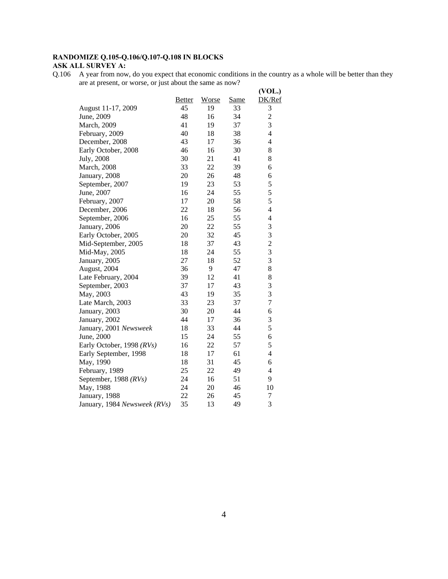# **RANDOMIZE Q.105-Q.106/Q.107-Q.108 IN BLOCKS ASK ALL SURVEY A:**

Q.106 A year from now, do you expect that economic conditions in the country as a whole will be better than they are at present, or worse, or just about the same as now?

|                              |                |                |                                                    | (VOL.)         |
|------------------------------|----------------|----------------|----------------------------------------------------|----------------|
|                              | Better         | Worse          | Same                                               | DK/Ref         |
| August 11-17, 2009           | 45             | 19             | 33                                                 | 3              |
| June, 2009                   | 48             | 16             | 34                                                 | $\overline{c}$ |
| March, 2009                  | 41             | 19             | 37                                                 | 3              |
| February, 2009               | 40             | 18             | 38                                                 | 4              |
| December, 2008               | 43             | 17             | 36                                                 | 4              |
| Early October, 2008          | 46             | 16             | 30                                                 | 8              |
| July, 2008                   | 30             |                | 41                                                 | 8              |
| <b>March</b> , 2008          | 33             | 22             | 39                                                 | 6              |
| January, 2008                | 20             |                | 48                                                 | 6              |
| September, 2007              | 19             |                | 53                                                 | 5              |
| June, 2007                   | 16             |                |                                                    | 5              |
| February, 2007               | 17             | 20             | 58                                                 | 5              |
|                              | 22             | 18             | 56                                                 | 4              |
| September, 2006              | 16             | 25             | 55                                                 | 4              |
| January, 2006                | 20             |                | 55                                                 | 3              |
| Early October, 2005          |                |                |                                                    | 3              |
| Mid-September, 2005          | 18             | 37             | 43                                                 | $\overline{c}$ |
| Mid-May, 2005                | 18             | 24             | 55                                                 | $\overline{3}$ |
| January, 2005                | 27             | 18             | 52                                                 | 3              |
| August, 2004                 | 36             | 9              |                                                    | 8              |
| Late February, 2004          | 39             | 12             | 41                                                 | $\,8$          |
| September, 2003              | 37             | 17             | 43                                                 | 3              |
| May, 2003                    |                | 19             | 35                                                 | 3              |
| Late March, 2003             |                | 23             | 37                                                 | $\overline{7}$ |
| January, 2003                | 30             | 20             | 44                                                 | 6              |
| January, 2002                | 44             | 17             | 36                                                 | 3              |
| January, 2001 Newsweek       | 18             |                | 44                                                 | 5              |
| June, 2000                   | 15             | 24             | 55                                                 | 6              |
| Early October, 1998 (RVs)    | 16             | 22             | 57                                                 | 5              |
| Early September, 1998        | 18             | 17             | 61                                                 | $\overline{4}$ |
| May, 1990                    | 18             |                | 45                                                 | 6              |
| February, 1989               | 25             |                | 49                                                 | 4              |
| September, 1988 (RVs)        | 24             | 16             | 51                                                 | 9              |
| May, 1988                    | 24             | 20             | 46                                                 | 10             |
| January, 1988                | 22             | 26             | 45                                                 | 7              |
| January, 1984 Newsweek (RVs) | 35             | 13             | 49                                                 | 3              |
|                              | December, 2006 | 20<br>43<br>33 | 21<br>26<br>23<br>24<br>22<br>32<br>33<br>31<br>22 | 55<br>45<br>47 |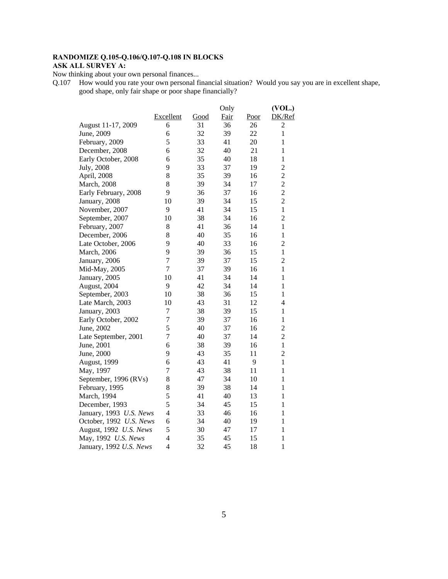# **RANDOMIZE Q.105-Q.106/Q.107-Q.108 IN BLOCKS ASK ALL SURVEY A:**

Now thinking about your own personal finances...

Q.107 How would you rate your own personal financial situation? Would you say you are in excellent shape, good shape, only fair shape or poor shape financially?

|                         |                  |      | Only        |      | (VOL.)         |
|-------------------------|------------------|------|-------------|------|----------------|
|                         | <b>Excellent</b> | Good | <b>Fair</b> | Poor | DK/Ref         |
| August 11-17, 2009      | 6                | 31   | 36          | 26   | $\overline{c}$ |
| June, 2009              | 6                | 32   | 39          | 22   | $\mathbf{1}$   |
| February, 2009          | 5                | 33   | 41          | 20   | $\mathbf{1}$   |
| December, 2008          | 6                | 32   | 40          | 21   | $\mathbf{1}$   |
| Early October, 2008     | 6                | 35   | 40          | 18   | 1              |
| July, 2008              | 9                | 33   | 37          | 19   | $\overline{2}$ |
| April, 2008             | 8                | 35   | 39          | 16   | $\overline{c}$ |
| March, 2008             | 8                | 39   | 34          | 17   | $\overline{c}$ |
| Early February, 2008    | 9                | 36   | 37          | 16   | $\overline{c}$ |
| January, 2008           | 10               | 39   | 34          | 15   | $\overline{c}$ |
| November, 2007          | 9                | 41   | 34          | 15   | $\mathbf{1}$   |
| September, 2007         | 10               | 38   | 34          | 16   | $\overline{c}$ |
| February, 2007          | 8                | 41   | 36          | 14   | 1              |
| December, 2006          | 8                | 40   | 35          | 16   | $\mathbf{1}$   |
| Late October, 2006      | 9                | 40   | 33          | 16   | $\overline{c}$ |
| March, 2006             | 9                | 39   | 36          | 15   | $\mathbf{1}$   |
| January, 2006           | $\overline{7}$   | 39   | 37          | 15   | $\overline{2}$ |
| Mid-May, 2005           | $\tau$           | 37   | 39          | 16   | $\mathbf{1}$   |
| January, 2005           | 10               | 41   | 34          | 14   | $\mathbf{1}$   |
| August, 2004            | 9                | 42   | 34          | 14   | $\mathbf{1}$   |
| September, 2003         | 10               | 38   | 36          | 15   | $\mathbf{1}$   |
| Late March, 2003        | 10               | 43   | 31          | 12   | 4              |
| January, 2003           | $\tau$           | 38   | 39          | 15   | $\mathbf{1}$   |
| Early October, 2002     | $\overline{7}$   | 39   | 37          | 16   | $\mathbf{1}$   |
| June, 2002              | 5                | 40   | 37          | 16   | $\overline{c}$ |
| Late September, 2001    | $\overline{7}$   | 40   | 37          | 14   | $\overline{2}$ |
| June, 2001              | 6                | 38   | 39          | 16   | $\mathbf{1}$   |
| June, 2000              | 9                | 43   | 35          | 11   | $\overline{c}$ |
| August, 1999            | 6                | 43   | 41          | 9    | $\mathbf{1}$   |
| May, 1997               | $\overline{7}$   | 43   | 38          | 11   | $\mathbf{1}$   |
| September, 1996 (RVs)   | 8                | 47   | 34          | 10   | $\mathbf{1}$   |
| February, 1995          | 8                | 39   | 38          | 14   | $\mathbf{1}$   |
| March, 1994             | 5                | 41   | 40          | 13   | $\mathbf{1}$   |
| December, 1993          | 5                | 34   | 45          | 15   | 1              |
| January, 1993 U.S. News | $\overline{4}$   | 33   | 46          | 16   | $\mathbf{1}$   |
| October, 1992 U.S. News | 6                | 34   | 40          | 19   | $\mathbf{1}$   |
| August, 1992 U.S. News  | 5                | 30   | 47          | 17   | $\mathbf{1}$   |
| May, 1992 U.S. News     | $\overline{4}$   | 35   | 45          | 15   | $\mathbf{1}$   |
| January, 1992 U.S. News | $\overline{4}$   | 32   | 45          | 18   | $\mathbf{1}$   |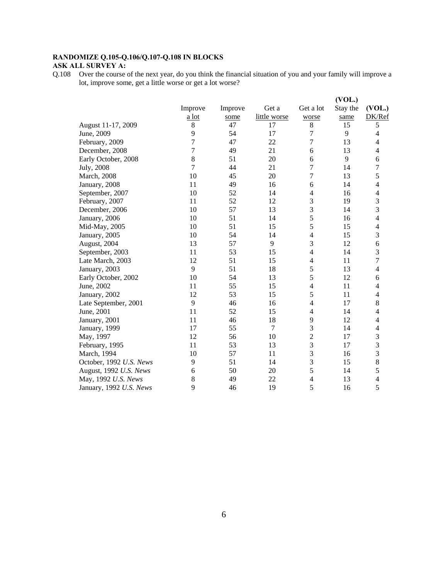#### **RANDOMIZE Q.105-Q.106/Q.107-Q.108 IN BLOCKS ASK ALL SURVEY A:**

Q.108 Over the course of the next year, do you think the financial situation of you and your family will improve a lot, improve some, get a little worse or get a lot worse?

|                         |                |         |              |                | (VOL.)   |                          |
|-------------------------|----------------|---------|--------------|----------------|----------|--------------------------|
|                         | Improve        | Improve | Get a        | Get a lot      | Stay the | (VOL.)                   |
|                         | a lot          | some    | little worse | worse          | same     | DK/Ref                   |
| August 11-17, 2009      | $\,8\,$        | 47      | 17           | 8              | 15       | 5                        |
| June, 2009              | 9              | 54      | 17           | 7              | 9        | 4                        |
| February, 2009          | $\overline{7}$ | 47      | 22           | 7              | 13       | 4                        |
| December, 2008          | 7              | 49      | 21           | 6              | 13       | 4                        |
| Early October, 2008     | $\,8\,$        | 51      | 20           | 6              | 9        | 6                        |
| July, 2008              | 7              | 44      | 21           | 7              | 14       | 7                        |
| March, 2008             | 10             | 45      | 20           | 7              | 13       | 5                        |
| January, 2008           | 11             | 49      | 16           | 6              | 14       | 4                        |
| September, 2007         | 10             | 52      | 14           | 4              | 16       | 4                        |
| February, 2007          | 11             | 52      | 12           | 3              | 19       | 3                        |
| December, 2006          | 10             | 57      | 13           | 3              | 14       | 3                        |
| January, 2006           | 10             | 51      | 14           | 5              | 16       | $\overline{\mathcal{L}}$ |
| Mid-May, 2005           | 10             | 51      | 15           | 5              | 15       | $\overline{\mathcal{L}}$ |
| January, 2005           | 10             | 54      | 14           | 4              | 15       | 3                        |
| August, 2004            | 13             | 57      | 9            | 3              | 12       | 6                        |
| September, 2003         | 11             | 53      | 15           | 4              | 14       | 3                        |
| Late March, 2003        | 12             | 51      | 15           | 4              | 11       | 7                        |
| January, 2003           | 9              | 51      | 18           | 5              | 13       | 4                        |
| Early October, 2002     | 10             | 54      | 13           | 5              | 12       | 6                        |
| June, 2002              | 11             | 55      | 15           | $\overline{4}$ | 11       | $\overline{4}$           |
| January, 2002           | 12             | 53      | 15           | 5              | 11       | 4                        |
| Late September, 2001    | 9              | 46      | 16           | 4              | 17       | 8                        |
| June, 2001              | 11             | 52      | 15           | 4              | 14       | 4                        |
| January, 2001           | 11             | 46      | 18           | 9              | 12       | 4                        |
| January, 1999           | 17             | 55      | 7            | 3              | 14       | 4                        |
| May, 1997               | 12             | 56      | 10           | $\overline{c}$ | 17       | 3                        |
| February, 1995          | 11             | 53      | 13           | 3              | 17       | 3                        |
| March, 1994             | 10             | 57      | 11           | 3              | 16       | 3                        |
| October, 1992 U.S. News | 9              | 51      | 14           | 3              | 15       | $\,8\,$                  |
| August, 1992 U.S. News  | 6              | 50      | 20           | 5              | 14       | 5                        |
| May, 1992 U.S. News     | 8              | 49      | 22           | 4              | 13       | 4                        |
| January, 1992 U.S. News | 9              | 46      | 19           | 5              | 16       | 5                        |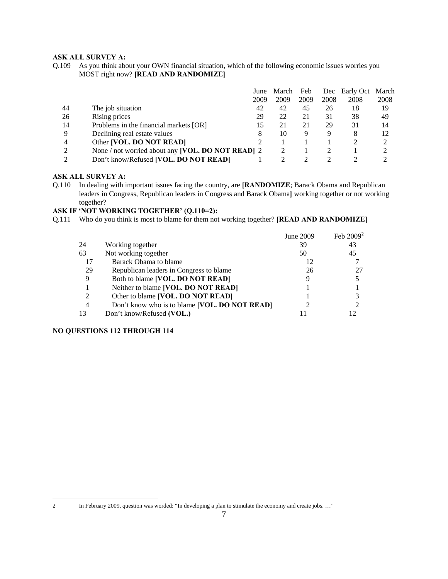# **ASK ALL SURVEY A:**

Q.109 As you think about your OWN financial situation, which of the following economic issues worries you MOST right now? **[READ AND RANDOMIZE]**

|    |                                                   | June | March | Feb  |      | Dec Early Oct | March |
|----|---------------------------------------------------|------|-------|------|------|---------------|-------|
|    |                                                   | 2009 | 2009  | 2009 | 2008 | 2008          | 2008  |
| 44 | The job situation                                 | 42   | 42    | 45   | 26   | 18            | 19    |
| 26 | Rising prices                                     | 29   | 22    | 21   | 31   | 38            | 49    |
| 14 | Problems in the financial markets [OR]            |      | 21    | 21   | 29   | 31            | 14    |
| 9  | Declining real estate values                      |      | 10    | Q    | 9    | 8             | 12    |
| 4  | Other [VOL. DO NOT READ]                          |      |       |      |      |               |       |
| 2  | None / not worried about any [VOL. DO NOT READ] 2 |      |       |      |      |               |       |
| ↑  | Don't know/Refused <b>[VOL. DO NOT READ]</b>      |      |       |      |      |               |       |

#### **ASK ALL SURVEY A:**

Q.110 In dealing with important issues facing the country, are **[RANDOMIZE**; Barack Obama and Republican leaders in Congress, Republican leaders in Congress and Barack Obama**]** working together or not working together?

# **ASK IF 'NOT WORKING TOGETHER' (Q.110=2):**

Q.111 Who do you think is most to blame for them not working together? **[READ AND RANDOMIZE]**

|    |                                               | June 2009 | Feb $2009^2$ |
|----|-----------------------------------------------|-----------|--------------|
| 24 | Working together                              | 39        | 43           |
| 63 | Not working together                          | 50        | 45           |
| 17 | Barack Obama to blame                         | 12        |              |
| 29 | Republican leaders in Congress to blame       | 26        |              |
| 9  | Both to blame [VOL. DO NOT READ]              |           |              |
|    | Neither to blame [VOL. DO NOT READ]           |           |              |
| 2  | Other to blame [VOL. DO NOT READ]             |           |              |
| 4  | Don't know who is to blame [VOL. DO NOT READ] |           |              |
| 13 | Don't know/Refused (VOL.)                     |           |              |

### **NO QUESTIONS 112 THROUGH 114**

 $\overline{a}$ 

<sup>2</sup> In February 2009, question was worded: "In developing a plan to stimulate the economy and create jobs. …"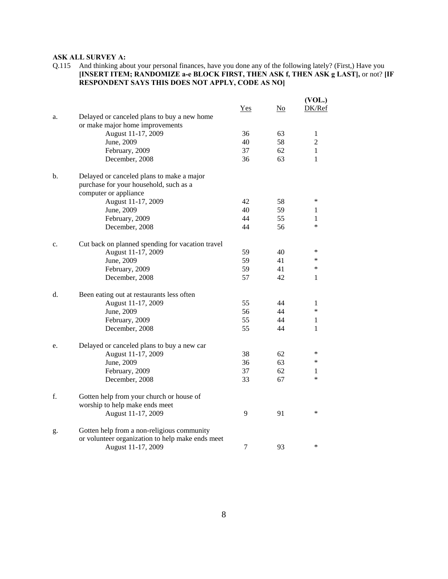# **ASK ALL SURVEY A:**

Q.115 And thinking about your personal finances, have you done any of the following lately? (First,) Have you **[INSERT ITEM; RANDOMIZE a-e BLOCK FIRST, THEN ASK f, THEN ASK g LAST],** or not? **[IF RESPONDENT SAYS THIS DOES NOT APPLY, CODE AS NO]** 

|    |                                                  |       |    | (VOL.)         |
|----|--------------------------------------------------|-------|----|----------------|
|    |                                                  | $Yes$ | No | DK/Ref         |
| a. | Delayed or canceled plans to buy a new home      |       |    |                |
|    | or make major home improvements                  |       |    |                |
|    | August 11-17, 2009                               | 36    | 63 | $\mathbf{1}$   |
|    | June, 2009                                       | 40    | 58 | $\overline{2}$ |
|    | February, 2009                                   | 37    | 62 | 1              |
|    | December, 2008                                   | 36    | 63 | 1              |
| b. | Delayed or canceled plans to make a major        |       |    |                |
|    | purchase for your household, such as a           |       |    |                |
|    | computer or appliance                            |       |    |                |
|    | August 11-17, 2009                               | 42    | 58 | *              |
|    | June, 2009                                       | 40    | 59 | 1              |
|    | February, 2009                                   | 44    | 55 | 1              |
|    | December, 2008                                   | 44    | 56 | $\ast$         |
| c. | Cut back on planned spending for vacation travel |       |    |                |
|    | August 11-17, 2009                               | 59    | 40 | *              |
|    | June, 2009                                       | 59    | 41 | *              |
|    | February, 2009                                   | 59    | 41 | *              |
|    | December, 2008                                   | 57    | 42 | 1              |
| d. | Been eating out at restaurants less often        |       |    |                |
|    | August 11-17, 2009                               | 55    | 44 | 1              |
|    | June, 2009                                       | 56    | 44 | $\ast$         |
|    | February, 2009                                   | 55    | 44 | 1              |
|    | December, 2008                                   | 55    | 44 | 1              |
| e. | Delayed or canceled plans to buy a new car       |       |    |                |
|    | August 11-17, 2009                               | 38    | 62 | *              |
|    | June, 2009                                       | 36    | 63 | *              |
|    | February, 2009                                   | 37    | 62 | 1              |
|    | December, 2008                                   | 33    | 67 | *              |
| f. | Gotten help from your church or house of         |       |    |                |
|    | worship to help make ends meet                   |       |    |                |
|    | August 11-17, 2009                               | 9     | 91 | *              |
| g. | Gotten help from a non-religious community       |       |    |                |
|    | or volunteer organization to help make ends meet |       |    |                |
|    | August 11-17, 2009                               | 7     | 93 | *              |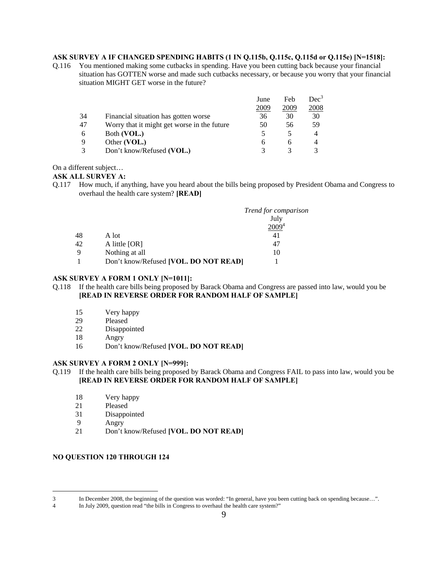# **ASK SURVEY A IF CHANGED SPENDING HABITS (1 IN Q.115b, Q.115c, Q.115d or Q.115e) [N=1518]:**

Q.116 You mentioned making some cutbacks in spending. Have you been cutting back because your financial situation has GOTTEN worse and made such cutbacks necessary, or because you worry that your financial situation MIGHT GET worse in the future?

|                                             | June         | Feb  | $Dec^3$ |
|---------------------------------------------|--------------|------|---------|
|                                             | 2009         | 2009 | 2008    |
| Financial situation has gotten worse        | 36           | 30   | 30      |
| Worry that it might get worse in the future | 50           | 56   | 59      |
| Both (VOL.)                                 |              |      | 4       |
|                                             | 6            | h    | 4       |
| Don't know/Refused (VOL.)                   |              |      |         |
|                                             | Other (VOL.) |      |         |

#### On a different subject…

#### **ASK ALL SURVEY A:**

Q.117 How much, if anything, have you heard about the bills being proposed by President Obama and Congress to overhaul the health care system? **[READ]**

|    |                                       | Trend for comparison |
|----|---------------------------------------|----------------------|
|    |                                       | July                 |
|    |                                       |                      |
| 48 | A lot                                 | 41                   |
| 42 | A little $[OR]$                       | 47                   |
| 9  | Nothing at all                        | 10                   |
|    | Don't know/Refused [VOL. DO NOT READ] |                      |

#### **ASK SURVEY A FORM 1 ONLY [N=1011]:**

# Q.118 If the health care bills being proposed by Barack Obama and Congress are passed into law, would you be **[READ IN REVERSE ORDER FOR RANDOM HALF OF SAMPLE]**

- 15 Very happy
- 29 Pleased
- 22 Disappointed
- 18 Angry
- 16 Don't know/Refused **[VOL. DO NOT READ]**

#### **ASK SURVEY A FORM 2 ONLY [N=999]:**

#### Q.119 If the health care bills being proposed by Barack Obama and Congress FAIL to pass into law, would you be **[READ IN REVERSE ORDER FOR RANDOM HALF OF SAMPLE]**

- 18 Very happy
- 21 Pleased
- 31 Disappointed
- 9 Angry

 $\overline{a}$ 

21 Don't know/Refused **[VOL. DO NOT READ]**

#### **NO QUESTION 120 THROUGH 124**

<sup>3</sup> In December 2008, the beginning of the question was worded: "In general, have you been cutting back on spending because...".<br>4 In July 2009, question read "the bills in Congress to overhaul the health care system?"

In July 2009, question read "the bills in Congress to overhaul the health care system?"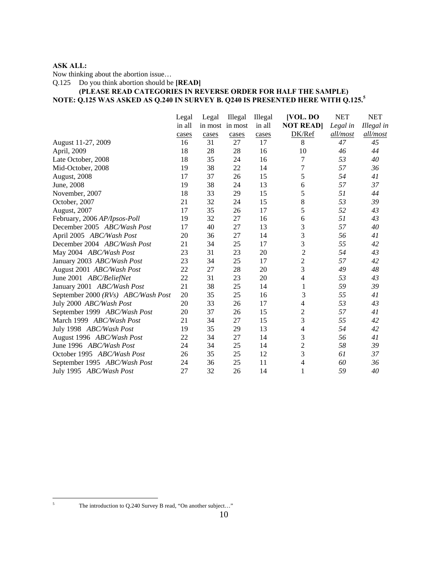# **ASK ALL:**

Now thinking about the abortion issue…

Q.125 Do you think abortion should be **[READ]**

# **(PLEASE READ CATEGORIES IN REVERSE ORDER FOR HALF THE SAMPLE) NOTE: Q.125 WAS ASKED AS Q.240 IN SURVEY B. Q240 IS PRESENTED HERE WITH Q.125.5**

|                                    | Legal  | Legal | Illegal         | Illegal | [VOL. DO        | <b>NET</b> | <b>NET</b> |
|------------------------------------|--------|-------|-----------------|---------|-----------------|------------|------------|
|                                    | in all |       | in most in most | in all  | <b>NOT READ</b> | Legal in   | Illegal in |
|                                    | cases  | cases | cases           | cases   | DK/Ref          | all/most   | all/most   |
| August 11-27, 2009                 | 16     | 31    | 27              | 17      | 8               | 47         | 45         |
| April, 2009                        | 18     | 28    | 28              | 16      | 10              | 46         | 44         |
| Late October, 2008                 | 18     | 35    | 24              | 16      | 7               | 53         | 40         |
| Mid-October, 2008                  | 19     | 38    | 22              | 14      | 7               | 57         | 36         |
| August, 2008                       | 17     | 37    | 26              | 15      | 5               | 54         | 41         |
| June, 2008                         | 19     | 38    | 24              | 13      | 6               | 57         | 37         |
| November, 2007                     | 18     | 33    | 29              | 15      | 5               | 51         | 44         |
| October, 2007                      | 21     | 32    | 24              | 15      | 8               | 53         | 39         |
| <b>August, 2007</b>                | 17     | 35    | 26              | 17      | 5               | 52         | 43         |
| February, 2006 AP/Ipsos-Poll       | 19     | 32    | 27              | 16      | 6               | 51         | 43         |
| December 2005 ABC/Wash Post        | 17     | 40    | 27              | 13      | 3               | 57         | 40         |
| April 2005 ABC/Wash Post           | 20     | 36    | 27              | 14      | 3               | 56         | 41         |
| December 2004 ABC/Wash Post        | 21     | 34    | 25              | 17      | 3               | 55         | 42         |
| May 2004 ABC/Wash Post             | 23     | 31    | 23              | 20      | $\overline{c}$  | 54         | 43         |
| January 2003 ABC/Wash Post         | 23     | 34    | 25              | 17      | $\overline{c}$  | 57         | 42         |
| August 2001 ABC/Wash Post          | 22     | 27    | 28              | 20      | 3               | 49         | 48         |
| June 2001 ABC/BeliefNet            | 22     | 31    | 23              | 20      | 4               | 53         | 43         |
| January 2001 ABC/Wash Post         | 21     | 38    | 25              | 14      |                 | 59         | 39         |
| September 2000 (RVs) ABC/Wash Post | 20     | 35    | 25              | 16      | 3               | 55         | 41         |
| July 2000 ABC/Wash Post            | 20     | 33    | 26              | 17      | 4               | 53         | 43         |
| September 1999 ABC/Wash Post       | 20     | 37    | 26              | 15      | $\overline{c}$  | 57         | 41         |
| March 1999 ABC/Wash Post           | 21     | 34    | 27              | 15      | 3               | 55         | 42         |
| July 1998 ABC/Wash Post            | 19     | 35    | 29              | 13      | 4               | 54         | 42         |
| August 1996 ABC/Wash Post          | 22     | 34    | 27              | 14      | 3               | 56         | 41         |
| June 1996 ABC/Wash Post            | 24     | 34    | 25              | 14      | $\overline{c}$  | 58         | 39         |
| October 1995 ABC/Wash Post         | 26     | 35    | 25              | 12      | 3               | 61         | 37         |
| September 1995 ABC/Wash Post       | 24     | 36    | 25              | 11      | 4               | 60         | 36         |
| July 1995 ABC/Wash Post            | 27     | 32    | 26              | 14      | 1               | 59         | 40         |

 $\sqrt{5}$ 

The introduction to Q.240 Survey B read, "On another subject..."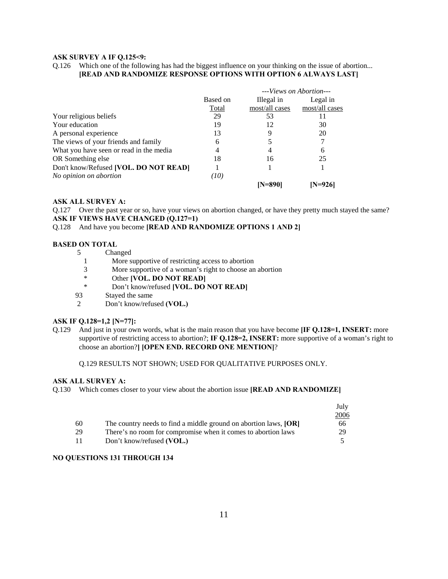#### **ASK SURVEY A IF Q.125<9:**

Q.126 Which one of the following has had the biggest influence on your thinking on the issue of abortion... **[READ AND RANDOMIZE RESPONSE OPTIONS WITH OPTION 6 ALWAYS LAST]**

|                                         |          | --- <i>Views on Abortion</i> --- |                |
|-----------------------------------------|----------|----------------------------------|----------------|
|                                         | Based on | Illegal in                       | Legal in       |
|                                         | Total    | most/all cases                   | most/all cases |
| Your religious beliefs                  | 29       | 53                               |                |
| Your education                          | 19       | 12                               | 30             |
| A personal experience                   | 13       |                                  | 20             |
| The views of your friends and family    | 6        |                                  |                |
| What you have seen or read in the media | 4        | 4                                | 6              |
| OR Something else                       | 18       | 16                               | 25             |
| Don't know/Refused [VOL. DO NOT READ]   |          |                                  |                |
| No opinion on abortion                  | (10)     |                                  |                |
|                                         |          | IN=890                           | N=9261         |

#### **ASK ALL SURVEY A:**

Q.127 Over the past year or so, have your views on abortion changed, or have they pretty much stayed the same? **ASK IF VIEWS HAVE CHANGED (Q.127=1)** 

#### Q.128 And have you become **[READ AND RANDOMIZE OPTIONS 1 AND 2]**

#### **BASED ON TOTAL**

|  | Changed |
|--|---------|
|--|---------|

- 1 More supportive of restricting access to abortion
- 3 More supportive of a woman's right to choose an abortion
- \* Other **[VOL. DO NOT READ]**<br>Non't know/refused **IVOL. DO**
- Don't know/refused **[VOL. DO NOT READ]**
- 93 Stayed the same
- 2 Don't know/refused **(VOL.)**

#### **ASK IF Q.128=1,2 [N=77]:**

Q.129 And just in your own words, what is the main reason that you have become **[IF Q.128=1, INSERT:** more supportive of restricting access to abortion?; **IF Q.128=2, INSERT:** more supportive of a woman's right to choose an abortion?**] [OPEN END. RECORD ONE MENTION]**?

Q.129 RESULTS NOT SHOWN; USED FOR QUALITATIVE PURPOSES ONLY.

#### **ASK ALL SURVEY A:**

Q.130 Which comes closer to your view about the abortion issue **[READ AND RANDOMIZE]** 

|    |                                                                  | July |
|----|------------------------------------------------------------------|------|
|    |                                                                  | 2006 |
| 60 | The country needs to find a middle ground on abortion laws, [OR] | 66   |
| 29 | There's no room for compromise when it comes to abortion laws    | 29   |
| 11 | Don't know/refused (VOL.)                                        |      |

# **NO QUESTIONS 131 THROUGH 134**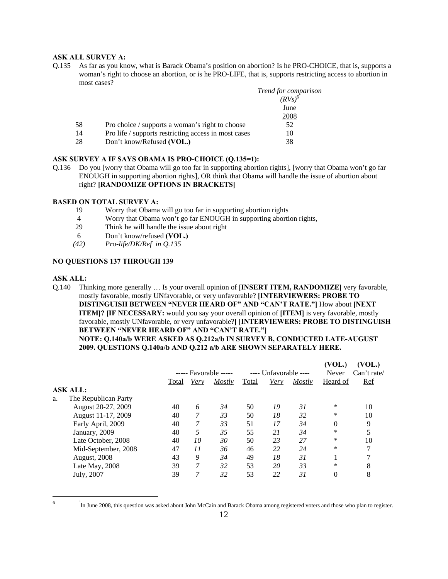#### **ASK ALL SURVEY A:**

Q.135 As far as you know, what is Barack Obama's position on abortion? Is he PRO-CHOICE, that is, supports a woman's right to choose an abortion, or is he PRO-LIFE, that is, supports restricting access to abortion in most cases?

|    |                                                      | Trend for comparison |
|----|------------------------------------------------------|----------------------|
|    |                                                      | $(RVs)^6$            |
|    |                                                      | June                 |
|    |                                                      | 2008                 |
| 58 | Pro choice / supports a woman's right to choose      | 52                   |
| 14 | Pro life / supports restricting access in most cases | 10                   |
| 28 | Don't know/Refused (VOL.)                            | 38                   |

#### **ASK SURVEY A IF SAYS OBAMA IS PRO-CHOICE (Q.135=1):**

Q.136 Do you [worry that Obama will go too far in supporting abortion rights], [worry that Obama won't go far ENOUGH in supporting abortion rights], OR think that Obama will handle the issue of abortion about right? **[RANDOMIZE OPTIONS IN BRACKETS]**

#### **BASED ON TOTAL SURVEY A:**

- 19 Worry that Obama will go too far in supporting abortion rights
- 4 Worry that Obama won't go far ENOUGH in supporting abortion rights,
- 29 Think he will handle the issue about right
- 6 Don't know/refused **(VOL.)**
- *(42) Pro-life/DK/Ref in Q.135*

#### **NO QUESTIONS 137 THROUGH 139**

#### **ASK ALL:**

Q.140 Thinking more generally … Is your overall opinion of **[INSERT ITEM, RANDOMIZE]** very favorable, mostly favorable, mostly UNfavorable, or very unfavorable? **[INTERVIEWERS: PROBE TO DISTINGUISH BETWEEN "NEVER HEARD OF" AND "CAN'T RATE."]** How about **[NEXT ITEM]? [IF NECESSARY:** would you say your overall opinion of **[ITEM]** is very favorable, mostly favorable, mostly UNfavorable, or very unfavorable?**] [INTERVIEWERS: PROBE TO DISTINGUISH BETWEEN "NEVER HEARD OF" AND "CAN'T RATE."] NOTE: Q.140a/b WERE ASKED AS Q.212a/b IN SURVEY B, CONDUCTED LATE-AUGUST 2009. QUESTIONS Q.140a/b AND Q.212 a/b ARE SHOWN SEPARATELY HERE.** 

|    |                      |       |                       |        |       |                       |        | (VOL.)       | (VOL.)      |
|----|----------------------|-------|-----------------------|--------|-------|-----------------------|--------|--------------|-------------|
|    |                      |       | ----- Favorable ----- |        |       | ---- Unfavorable ---- |        | <b>Never</b> | Can't rate/ |
|    |                      | Total | <u>Very</u>           | Mostly | Total | Very                  | Mostly | Heard of     | <b>Ref</b>  |
|    | <b>ASK ALL:</b>      |       |                       |        |       |                       |        |              |             |
| a. | The Republican Party |       |                       |        |       |                       |        |              |             |
|    | August 20-27, 2009   | 40    | 6                     | 34     | 50    | 19                    | 31     | *            | 10          |
|    | August 11-17, 2009   | 40    |                       | 33     | 50    | 18                    | 32     | *            | 10          |
|    | Early April, 2009    | 40    | 7                     | 33     | 51    | 17                    | 34     | $\theta$     | 9           |
|    | January, 2009        | 40    | 5                     | 35     | 55    | 21                    | 34     | *            |             |
|    | Late October, 2008   | 40    | 10                    | 30     | 50    | 23                    | 27     | *            | 10          |
|    | Mid-September, 2008  | 47    | 11                    | 36     | 46    | 22                    | 24     | *            | 7           |
|    | August, 2008         | 43    | 9                     | 34     | 49    | 18                    | 31     |              |             |
|    | Late May, 2008       | 39    | 7                     | 32     | 53    | 20                    | 33     | $\ast$       | 8           |
|    | July, 2007           | 39    | 7                     | 32     | 53    | 22                    | 31     | $\theta$     | 8           |
|    |                      |       |                       |        |       |                       |        |              |             |

6

In June 2008, this question was asked about John McCain and Barack Obama among registered voters and those who plan to register.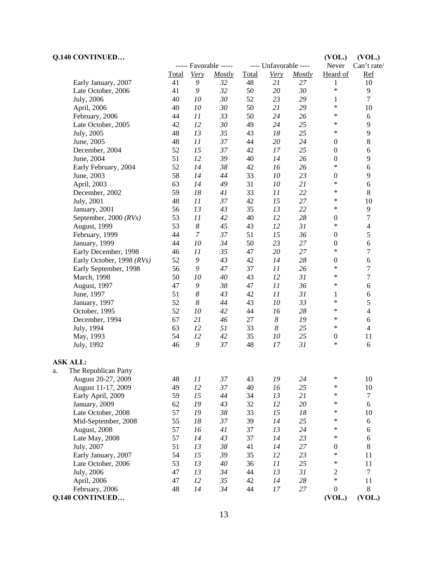| Q.140 CONTINUED                   |          |                  |                       |              |                       |        | (VOL.)                     | (VOL.)           |
|-----------------------------------|----------|------------------|-----------------------|--------------|-----------------------|--------|----------------------------|------------------|
|                                   |          |                  | ----- Favorable ----- |              | ---- Unfavorable ---- |        | Never                      | Can't rate/      |
|                                   | Total    | Very             | <b>Mostly</b>         | <b>Total</b> | <b>Very</b>           | Mostly | Heard of                   | <b>Ref</b>       |
| Early January, 2007               | 41       | 9                | 32                    | 48           | 21                    | 27     | 1                          | 10               |
| Late October, 2006                | 41       | 9                | 32                    | 50           | 20                    | 30     | $\ast$                     | 9                |
| July, 2006                        | 40       | 10               | 30                    | 52           | 23                    | 29     | 1                          | $\overline{7}$   |
| April, 2006                       | 40       | 10               | 30                    | 50           | 21                    | 29     | *                          | 10               |
| February, 2006                    | 44       | 11               | 33                    | 50           | 24                    | 26     | *                          | $6\,$            |
| Late October, 2005                | 42       | 12               | 30                    | 49           | 24                    | 25     | $\ast$                     | 9                |
| July, 2005                        | 48       | 13               | 35                    | 43           | 18                    | 25     | $\ast$                     | 9                |
| June, 2005                        | 48       | 11               | 37                    | 44           | 20                    | 24     | $\boldsymbol{0}$           | $8\,$            |
| December, 2004                    | 52       | 15               | 37                    | 42           | 17                    | 25     | $\boldsymbol{0}$           | 6                |
| June, 2004                        | 51       | 12               | 39                    | 40           | 14                    | 26     | $\boldsymbol{0}$           | 9                |
| Early February, 2004              | 52       | 14               | 38                    | 42           | 16                    | 26     | *                          | $\epsilon$       |
| June, 2003                        | 58       | 14               | 44                    | 33           | 10                    | 23     | $\boldsymbol{0}$           | 9                |
| April, 2003                       | 63       | 14               | 49                    | 31           | 10                    | 21     | *                          | 6                |
| December, 2002                    | 59       | 18               | 41                    | 33           | 11                    | 22     | ∗                          | 8                |
| July, 2001                        | 48       | 11               | 37                    | 42           | 15                    | 27     | $\ast$                     | 10               |
| January, 2001                     | 56       | 13               | 43                    | 35           | 13                    | 22     | $\ast$                     | 9                |
| September, 2000 $(RVs)$           | 53       | 11               | 42                    | 40           | 12                    | 28     | $\boldsymbol{0}$           | $\overline{7}$   |
| August, 1999                      | 53       | $\boldsymbol{8}$ | 45                    | 43           | 12                    | 31     | $\ast$                     | $\overline{4}$   |
| February, 1999                    | 44       | $\boldsymbol{7}$ | 37                    | 51           | 15                    | 36     | $\boldsymbol{0}$           | 5                |
| January, 1999                     | 44       | 10               | 34                    | 50           | 23                    | 27     | $\boldsymbol{0}$           | $\sqrt{6}$       |
| Early December, 1998              | 46       | 11               | 35                    | 47           | 20                    | 27     | *                          | 7                |
| Early October, 1998 (RVs)         | 52       | 9                | 43                    | 42           | 14                    | 28     | $\boldsymbol{0}$           | $\sqrt{6}$       |
| Early September, 1998             | 56       | 9                | 47                    | 37           | 11                    | 26     | *                          | 7                |
| March, 1998                       | 50       | 10               | 40                    | 43           | 12                    | 31     | ∗                          | $\boldsymbol{7}$ |
| August, 1997                      | 47       | 9                | 38                    | 47           | 11                    | 36     | ∗                          | 6                |
| June, 1997                        | 51       | $\boldsymbol{8}$ | 43                    | 42           | 11                    | 31     | 1                          | 6                |
| January, 1997                     | 52       | $\boldsymbol{8}$ | 44                    | 43           | 10                    | 33     | *                          | 5                |
| October, 1995                     | 52       | 10               | 42                    | 44           | 16                    | 28     | ∗                          | $\overline{4}$   |
| December, 1994                    | 67       | 21               | 46                    | 27           | $\boldsymbol{8}$      | 19     | ∗                          | $\sqrt{6}$       |
| July, 1994                        | 63       | 12               | 51                    | 33           | $\boldsymbol{8}$      | 25     | $\ast$                     | $\overline{4}$   |
| May, 1993                         | 54       | 12               | 42                    | 35           | 10                    | 25     | $\boldsymbol{0}$           | 11               |
| July, 1992                        | 46       | 9                | 37                    | 48           | 17                    | 31     | *                          | 6                |
| <b>ASK ALL:</b>                   |          |                  |                       |              |                       |        |                            |                  |
| The Republican Party              |          |                  |                       |              |                       |        |                            |                  |
| a.<br>August 20-27, 2009          | 48       | 11               | 37                    | 43           | 19                    | 24     | *                          | 10               |
| August 11-17, 2009                |          | 12               | 37                    |              |                       | 25     | $\ast$                     |                  |
|                                   | 49<br>59 | 15               | 44                    | 40<br>34     | 16<br>13              | 21     | $\ast$                     | 10<br>$\tau$     |
| Early April, 2009                 | 62       | 19               | 43                    |              |                       |        | ∗                          | 6                |
| January, 2009                     | 57       |                  |                       | 32           | 12                    | $20\,$ | ∗                          |                  |
| Late October, 2008                |          | 19               | 38                    | 33           | 15                    | 18     | ∗                          | 10               |
| Mid-September, 2008               | 55       | 18               | 37                    | 39           | 14                    | 25     | $\ast$                     | 6                |
| August, 2008                      | 57       | 16               | 41                    | 37           | 13                    | 24     | ∗                          | 6                |
| Late May, 2008                    | 57       | 14               | 43                    | 37           | 14                    | 23     |                            | 6                |
| July, 2007                        | 51       | 13               | 38                    | 41           | 14                    | 27     | $\boldsymbol{0}$<br>$\ast$ | $8\,$            |
| Early January, 2007               | 54       | 15               | 39                    | 35           | 12                    | 23     | $\ast$                     | 11               |
| Late October, 2006                | 53       | 13               | 40                    | 36           | 11                    | 25     |                            | 11               |
| July, 2006                        | 47       | 13               | 34                    | 44           | 13                    | 31     | $\mathfrak 2$<br>$\ast$    | $\overline{7}$   |
| April, 2006                       | 47       | 12               | 35                    | 42           | 14                    | 28     |                            | $11\,$           |
| February, 2006<br>Q.140 CONTINUED | 48       | 14               | 34                    | 44           | $17\,$                | 27     | $\boldsymbol{0}$<br>(VOL.) | 8<br>(VOL.)      |
|                                   |          |                  |                       |              |                       |        |                            |                  |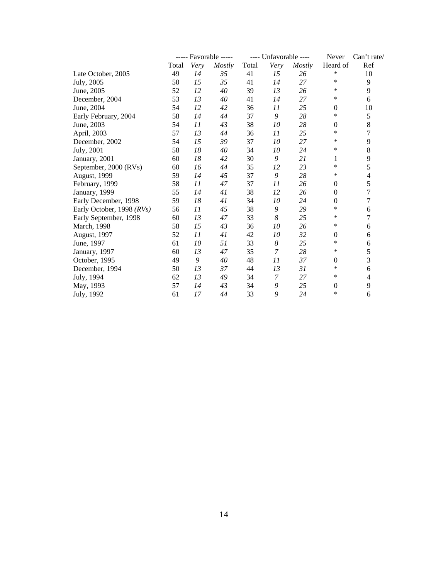|                           |       | ----- Favorable ----- |        |       | ---- Unfavorable ---- |        | Never            | Can't rate/              |
|---------------------------|-------|-----------------------|--------|-------|-----------------------|--------|------------------|--------------------------|
|                           | Total | <b>Very</b>           | Mostly | Total | <b>Very</b>           | Mostly | Heard of         | <b>Ref</b>               |
| Late October, 2005        | 49    | 14                    | 35     | 41    | 15                    | 26     | $\ast$           | $10\,$                   |
| July, 2005                | 50    | 15                    | 35     | 41    | 14                    | 27     | $\ast$           | 9                        |
| June, 2005                | 52    | 12                    | $40\,$ | 39    | 13                    | 26     | $\ast$           | 9                        |
| December, 2004            | 53    | 13                    | 40     | 41    | 14                    | 27     | $\ast$           | 6                        |
| June, 2004                | 54    | 12                    | 42     | 36    | 11                    | 25     | $\boldsymbol{0}$ | 10                       |
| Early February, 2004      | 58    | 14                    | 44     | 37    | 9                     | 28     | $\ast$           | 5                        |
| June, 2003                | 54    | 11                    | 43     | 38    | $10\,$                | 28     | $\mathbf{0}$     | 8                        |
| April, 2003               | 57    | 13                    | 44     | 36    | 11                    | 25     | $\ast$           | 7                        |
| December, 2002            | 54    | 15                    | 39     | 37    | ${\it 10}$            | 27     | $\ast$           | 9                        |
| July, 2001                | 58    | 18                    | 40     | 34    | $10\,$                | 24     | $\ast$           | 8                        |
| January, 2001             | 60    | 18                    | 42     | 30    | 9                     | 21     | 1                | 9                        |
| September, 2000 (RVs)     | 60    | 16                    | 44     | 35    | 12                    | 23     | $\ast$           | 5                        |
| August, 1999              | 59    | 14                    | 45     | 37    | 9                     | 28     | $\ast$           | $\overline{\mathcal{L}}$ |
| February, 1999            | 58    | 11                    | 47     | 37    | 11                    | 26     | $\boldsymbol{0}$ | 5                        |
| January, 1999             | 55    | 14                    | 41     | 38    | 12                    | 26     | $\mathbf{0}$     | 7                        |
| Early December, 1998      | 59    | $18\,$                | 41     | 34    | $10\,$                | 24     | $\boldsymbol{0}$ | 7                        |
| Early October, 1998 (RVs) | 56    | 11                    | 45     | 38    | 9                     | 29     | $\ast$           | 6                        |
| Early September, 1998     | 60    | 13                    | 47     | 33    | $\boldsymbol{8}$      | 25     | $\ast$           | 7                        |
| March, 1998               | 58    | 15                    | 43     | 36    | $10\,$                | 26     | $\ast$           | 6                        |
| August, 1997              | 52    | 11                    | 41     | 42    | 10                    | 32     | $\boldsymbol{0}$ | 6                        |
| June, 1997                | 61    | $10\,$                | 51     | 33    | $\boldsymbol{8}$      | 25     | $\ast$           | 6                        |
| January, 1997             | 60    | 13                    | 47     | 35    | 7                     | 28     | $\ast$           | 5                        |
| October, 1995             | 49    | 9                     | 40     | 48    | 11                    | 37     | $\boldsymbol{0}$ | 3                        |
| December, 1994            | 50    | 13                    | 37     | 44    | 13                    | 31     | $\ast$           | 6                        |
| July, 1994                | 62    | 13                    | 49     | 34    | 7                     | 27     | $\ast$           | 4                        |
| May, 1993                 | 57    | 14                    | 43     | 34    | 9                     | 25     | $\boldsymbol{0}$ | 9                        |
| July, 1992                | 61    | 17                    | 44     | 33    | 9                     | 24     | $\ast$           | 6                        |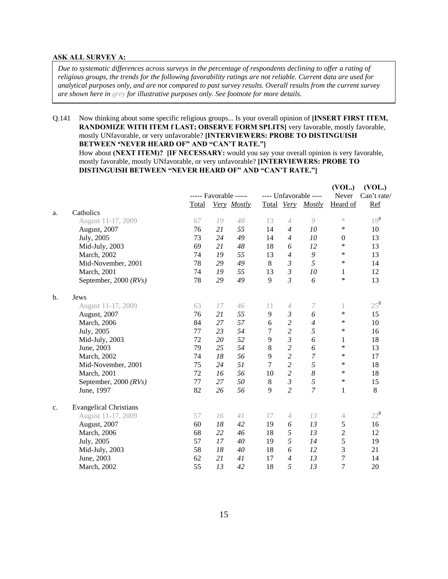#### **ASK ALL SURVEY A:**

*Due to systematic differences across surveys in the percentage of respondents declining to offer a rating of religious groups, the trends for the following favorability ratings are not reliable. Current data are used for analytical purposes only, and are not compared to past survey results. Overall results from the current survey are shown here in grey for illustrative purposes only. See footnote for more details.* 

Q.141 Now thinking about some specific religious groups... Is your overall opinion of **[INSERT FIRST ITEM, RANDOMIZE WITH ITEM f LAST; OBSERVE FORM SPLITS|** very favorable, mostly favorable, mostly UNfavorable, or very unfavorable? **[INTERVIEWERS: PROBE TO DISTINGUISH BETWEEN "NEVER HEARD OF" AND "CAN'T RATE."** How about **(NEXT ITEM)? [IF NECESSARY:** would you say your overall opinion is very favorable, mostly favorable, mostly UNfavorable, or very unfavorable? **[INTERVIEWERS: PROBE TO DISTINGUISH BETWEEN "NEVER HEARD OF" AND "CAN'T RATE."]** 

|       |                               | ----- Favorable ----- |    |             |    |                            | ---- Unfavorable ---- | (VOL.)<br>Never  | (VOL.)<br>Can't rate/ |
|-------|-------------------------------|-----------------------|----|-------------|----|----------------------------|-----------------------|------------------|-----------------------|
|       |                               | Total                 |    | Very Mostly |    | Total Very                 | Mostly                | Heard of         | Ref                   |
| a.    | Catholics                     |                       |    |             |    |                            |                       |                  |                       |
|       | August 11-17, 2009            | 67                    | 19 | 48          | 13 | $\overline{4}$             | $\mathcal{Q}$         | $\asymp$         | $19^{8}$              |
|       | August, 2007                  | 76                    | 21 | 55          | 14 | $\overline{4}$             | 10                    | ∗                | 10                    |
|       | July, 2005                    | 73                    | 24 | 49          | 14 | $\overline{4}$             | 10                    | $\boldsymbol{0}$ | 13                    |
|       | Mid-July, 2003                | 69                    | 21 | 48          | 18 | 6                          | 12                    | *                | 13                    |
|       | March, 2002                   | 74                    | 19 | 55          | 13 | 4                          | 9                     | *                | 13                    |
|       | Mid-November, 2001            | 78                    | 29 | 49          | 8  | $\mathfrak{z}$             | 5                     | ∗                | 14                    |
|       | March, 2001                   | 74                    | 19 | 55          | 13 | 3                          | 10                    | $\mathbf{1}$     | 12                    |
|       | September, 2000 (RVs)         | 78                    | 29 | 49          | 9  | $\mathfrak{Z}$             | 6                     | *                | 13                    |
|       |                               |                       |    |             |    |                            |                       |                  |                       |
| $b$ . | Jews                          |                       |    |             |    |                            |                       |                  |                       |
|       | August 11-17, 2009            | 63                    | 17 | 46          | 11 | 4                          | 7                     | 1                | $25^{8}$              |
|       | August, 2007                  | 76                    | 21 | 55          | 9  | $\mathfrak{z}$             | 6                     | $\ast$           | 15                    |
|       | March, 2006                   | 84                    | 27 | 57          | 6  | $\overline{c}$             | 4                     | ∗                | 10                    |
|       | July, 2005                    | 77                    | 23 | 54          | 7  | $\overline{c}$             | 5                     | *                | 16                    |
|       | Mid-July, 2003                | 72                    | 20 | 52          | 9  | $\mathfrak{z}$             | 6                     | 1                | 18                    |
|       | June, 2003                    | 79                    | 25 | 54          | 8  | $\overline{c}$             | 6                     | $\ast$           | 13                    |
|       | March, 2002                   | 74                    | 18 | 56          | 9  | $\overline{c}$             | $\boldsymbol{7}$      | ∗                | 17                    |
|       | Mid-November, 2001            | 75                    | 24 | 51          | 7  | $\overline{c}$             | 5                     | $\ast$           | 18                    |
|       | March, 2001                   | 72                    | 16 | 56          | 10 | $\overline{c}$             | $\boldsymbol{8}$      | *                | 18                    |
|       | September, 2000 $(RVs)$       | 77                    | 27 | 50          | 8  | $\mathfrak{Z}$             | 5                     | *                | 15                    |
|       | June, 1997                    | 82                    | 26 | 56          | 9  | $\overline{c}$             | $\overline{7}$        | 1                | 8                     |
| c.    | <b>Evangelical Christians</b> |                       |    |             |    |                            |                       |                  |                       |
|       | August 11-17, 2009            | 57                    | 16 | 41          | 17 | $\ensuremath{\mathcal{A}}$ | 13                    | 4                | $22^8$                |
|       | August, 2007                  | 60                    | 18 | 42          | 19 | 6                          | 13                    | 5                | 16                    |
|       | March, 2006                   | 68                    | 22 | 46          | 18 | 5                          | 13                    | $\overline{c}$   | 12                    |
|       | July, 2005                    | 57                    | 17 | 40          | 19 | 5                          | 14                    | 5                | 19                    |
|       | Mid-July, 2003                | 58                    | 18 | 40          | 18 | 6                          | 12                    | 3                | 21                    |
|       | June, 2003                    | 62                    | 21 | 41          | 17 | 4                          | 13                    | 7                | 14                    |
|       | March, 2002                   | 55                    | 13 | 42          | 18 | 5                          | 13                    | 7                | 20                    |
|       |                               |                       |    |             |    |                            |                       |                  |                       |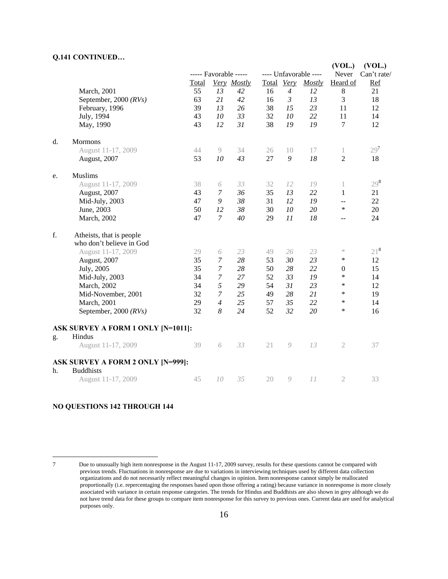#### **Q.141 CONTINUED…**

|    |                                           |       |                       |             |    |                |                       | (VOL.)           | (VOL.)          |
|----|-------------------------------------------|-------|-----------------------|-------------|----|----------------|-----------------------|------------------|-----------------|
|    |                                           |       | ----- Favorable ----- |             |    |                | ---- Unfavorable ---- | Never            | Can't rate/     |
|    |                                           | Total |                       | Very Mostly |    | Total Very     | <b>Mostly</b>         | Heard of         | Ref             |
|    | March, 2001                               | 55    | 13                    | 42          | 16 | $\overline{4}$ | 12                    | $\,8\,$          | 21              |
|    | September, 2000 $(RVs)$                   | 63    | 21                    | 42          | 16 | 3              | 13                    | 3                | 18              |
|    | February, 1996                            | 39    | 13                    | 26          | 38 | 15             | 23                    | 11               | 12              |
|    | July, 1994                                | 43    | 10                    | 33          | 32 | 10             | 22                    | 11               | 14              |
|    | May, 1990                                 | 43    | 12                    | 31          | 38 | 19             | 19                    | $\tau$           | 12              |
| d. | <b>Mormons</b>                            |       |                       |             |    |                |                       |                  |                 |
|    | August 11-17, 2009                        | 44    | 9                     | 34          | 26 | 10             | 17                    | 1                | 29 <sup>7</sup> |
|    | August, 2007                              | 53    | 10                    | 43          | 27 | 9              | 18                    | 2                | 18              |
| e. | <b>Muslims</b>                            |       |                       |             |    |                |                       |                  |                 |
|    | August 11-17, 2009                        | 38    | 6                     | 33          | 32 | 12             | 19                    | 1                | $29^{8}$        |
|    | August, 2007                              | 43    | 7                     | 36          | 35 | 13             | 22                    | $\mathbf{1}$     | 21              |
|    | Mid-July, 2003                            | 47    | 9                     | 38          | 31 | 12             | 19                    | $-$              | 22              |
|    | June, 2003                                | 50    | 12                    | 38          | 30 | 10             | 20                    | $\ast$           | 20              |
|    | March, 2002                               | 47    | $\mathcal{I}$         | 40          | 29 | 11             | 18                    | $-$              | 24              |
| f. | Atheists, that is people                  |       |                       |             |    |                |                       |                  |                 |
|    | who don't believe in God                  |       |                       |             |    |                |                       |                  |                 |
|    | August 11-17, 2009                        | 29    | 6                     | 23          | 49 | 26             | 23                    | $\asymp$         | $21^{8}$        |
|    | August, 2007                              | 35    | $\boldsymbol{7}$      | 28          | 53 | 30             | 23                    | ∗                | 12              |
|    | July, 2005                                | 35    | $\boldsymbol{7}$      | 28          | 50 | 28             | 22                    | $\boldsymbol{0}$ | 15              |
|    | Mid-July, 2003                            | 34    | $\overline{7}$        | 27          | 52 | 33             | 19                    | *                | 14              |
|    | March, 2002                               | 34    | 5                     | 29          | 54 | 31             | 23                    | $\ast$           | 12              |
|    | Mid-November, 2001                        | 32    | $\overline{7}$        | 25          | 49 | 28             | 21                    | $\ast$           | 19              |
|    | March, 2001                               | 29    | $\overline{4}$        | 25          | 57 | 35             | 22                    | ∗                | 14              |
|    | September, 2000 $(RVs)$                   | 32    | 8                     | 24          | 52 | 32             | 20                    | $\ast$           | 16              |
|    | <b>ASK SURVEY A FORM 1 ONLY [N=1011]:</b> |       |                       |             |    |                |                       |                  |                 |
| g. | Hindus                                    |       |                       |             |    |                |                       |                  |                 |
|    | August 11-17, 2009                        | 39    | 6                     | 33          | 21 | 9              | 13                    | $\mathfrak{2}$   | 37              |
|    | <b>ASK SURVEY A FORM 2 ONLY [N=999]:</b>  |       |                       |             |    |                |                       |                  |                 |
| h. | <b>Buddhists</b>                          |       |                       |             |    |                |                       |                  |                 |
|    | August 11-17, 2009                        | 45    | 10                    | 35          | 20 | 9              | 11                    | $\mathfrak{2}$   | 33              |

# **NO QUESTIONS 142 THROUGH 144**

 $\overline{a}$ 

<sup>7</sup> Due to unusually high item nonresponse in the August 11-17, 2009 survey, results for these questions cannot be compared with previous trends. Fluctuations in nonresponse are due to variations in interviewing techniques used by different data collection organizations and do not necessarily reflect meaningful changes in opinion. Item nonresponse cannot simply be reallocated proportionally (i.e. repercentaging the responses based upon those offering a rating) because variance in nonresponse is more closely associated with variance in certain response categories. The trends for Hindus and Buddhists are also shown in grey although we do not have trend data for these groups to compare item nonresponse for this survey to previous ones. Current data are used for analytical purposes only.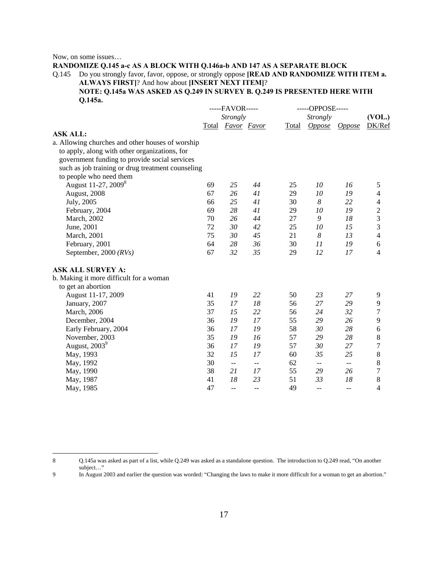Now, on some issues…

**RANDOMIZE Q.145 a-c AS A BLOCK WITH Q.146a-b AND 147 AS A SEPARATE BLOCK**  Q.145 Do you strongly favor, favor, oppose, or strongly oppose **[READ AND RANDOMIZE WITH ITEM a.** 

**ALWAYS FIRST]**? And how about **[INSERT NEXT ITEM]**? **NOTE: Q.145a WAS ASKED AS Q.249 IN SURVEY B. Q.249 IS PRESENTED HERE WITH** 

 $\overline{a}$ 

|                                                   |                 | -----FAVOR-----   |     |       | -----OPPOSE----- |                |                         |  |
|---------------------------------------------------|-----------------|-------------------|-----|-------|------------------|----------------|-------------------------|--|
|                                                   | <b>Strongly</b> |                   |     |       | <b>Strongly</b>  |                |                         |  |
|                                                   |                 | Total Favor Favor |     | Total |                  | Oppose Oppose  | (VOL.)<br>DK/Ref        |  |
| <b>ASK ALL:</b>                                   |                 |                   |     |       |                  |                |                         |  |
| a. Allowing churches and other houses of worship  |                 |                   |     |       |                  |                |                         |  |
| to apply, along with other organizations, for     |                 |                   |     |       |                  |                |                         |  |
| government funding to provide social services     |                 |                   |     |       |                  |                |                         |  |
| such as job training or drug treatment counseling |                 |                   |     |       |                  |                |                         |  |
| to people who need them                           |                 |                   |     |       |                  |                |                         |  |
| August 11-27, 2009 <sup>8</sup>                   | 69              | 25                | 44  | 25    | 10               | 16             | 5                       |  |
| August, 2008                                      | 67              | 26                | 41  | 29    | 10               | 19             | 4                       |  |
| July, 2005                                        | 66              | 25                | 41  | 30    | 8                | 22             | 4                       |  |
| February, 2004                                    | 69              | 28                | 41  | 29    | 10               | 19             | $\overline{\mathbf{c}}$ |  |
| March, 2002                                       | 70              | 26                | 44  | 27    | 9                | 18             | 3                       |  |
| June, 2001                                        | 72              | 30                | 42  | 25    | 10               | 15             | 3                       |  |
| March, 2001                                       | 75              | 30                | 45  | 21    | 8                | 13             | $\overline{4}$          |  |
| February, 2001                                    | 64              | 28                | 36  | 30    | 11               | 19             | 6                       |  |
| September, 2000 $(RVs)$                           | 67              | 32                | 35  | 29    | 12               | 17             | 4                       |  |
| <b>ASK ALL SURVEY A:</b>                          |                 |                   |     |       |                  |                |                         |  |
| b. Making it more difficult for a woman           |                 |                   |     |       |                  |                |                         |  |
| to get an abortion                                |                 |                   |     |       |                  |                |                         |  |
| August 11-17, 2009                                | 41              | 19                | 22  | 50    | 23               | 27             | 9                       |  |
| January, 2007                                     | 35              | 17                | 18  | 56    | 27               | 29             | 9                       |  |
| March, 2006                                       | 37              | 15                | 22  | 56    | 24               | 32             | 7                       |  |
| December, 2004                                    | 36              | 19                | 17  | 55    | 29               | 26             | 9                       |  |
| Early February, 2004                              | 36              | 17                | 19  | 58    | 30               | 28             | 6                       |  |
| November, 2003                                    | 35              | 19                | 16  | 57    | 29               | 28             | 8                       |  |
| August, 2003 <sup>9</sup>                         | 36              | 17                | 19  | 57    | 30               | 27             | $\overline{7}$          |  |
| May, 1993                                         | 32              | 15                | 17  | 60    | 35               | 25             | 8                       |  |
| May, 1992                                         | 30              | $\sim$ $\sim$     | $-$ | 62    | --               | $\overline{a}$ | 8                       |  |
| May, 1990                                         | 38              | 21                | 17  | 55    | 29               | 26             | 7                       |  |
| May, 1987                                         | 41              | 18                | 23  | 51    | 33               | 18             | 8                       |  |
| May, 1985                                         | 47              | $-$               | --  | 49    | --               | $-$            | 4                       |  |

8 Q.145a was asked as part of a list, while Q.249 was asked as a standalone question. The introduction to Q.249 read, "On another subject…"

9 In August 2003 and earlier the question was worded: "Changing the laws to make it more difficult for a woman to get an abortion."

**Q.145a.**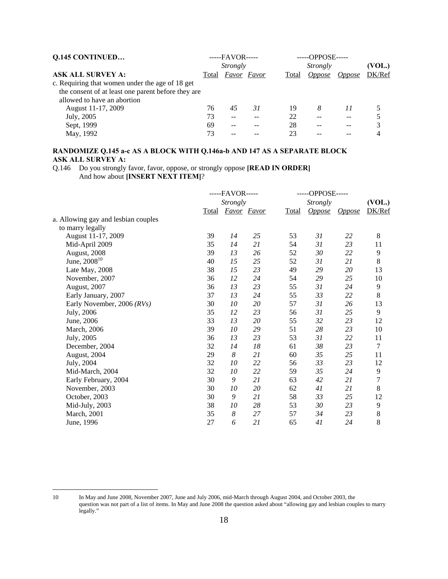| <b>Q.145 CONTINUED</b>                             | $---FAVOR---$ |             |    |       | $---OPPOSE---$ |               |        |  |
|----------------------------------------------------|---------------|-------------|----|-------|----------------|---------------|--------|--|
|                                                    |               | Strongly    |    |       | Strongly       |               |        |  |
| <b>ASK ALL SURVEY A:</b>                           | Total         | Favor Favor |    | Total | <i>Oppose</i>  | <i>Oppose</i> | DK/Ref |  |
| c. Requiring that women under the age of 18 get    |               |             |    |       |                |               |        |  |
| the consent of at least one parent before they are |               |             |    |       |                |               |        |  |
| allowed to have an abortion                        |               |             |    |       |                |               |        |  |
| August 11-17, 2009                                 | 76            | 45          | 31 | 19    | 8              | 11            |        |  |
| July, 2005                                         | 73            | --          |    | 22    |                |               |        |  |
| Sept, 1999                                         | 69            | $- -$       |    | 28    |                |               |        |  |
| May, 1992                                          | 73            |             |    | 23    |                |               |        |  |

# **RANDOMIZE Q.145 a-c AS A BLOCK WITH Q.146a-b AND 147 AS A SEPARATE BLOCK ASK ALL SURVEY A:**

Q.146 Do you strongly favor, favor, oppose, or strongly oppose **[READ IN ORDER]** And how about **[INSERT NEXT ITEM]**?

|                                     | -----FAVOR----- |    |             |       | -----OPPOSE----- |               |                |
|-------------------------------------|-----------------|----|-------------|-------|------------------|---------------|----------------|
|                                     | <b>Strongly</b> |    |             |       | <b>Strongly</b>  |               |                |
|                                     | <b>Total</b>    |    | Favor Favor | Total | <b>Oppose</b>    | <i>Oppose</i> | DK/Ref         |
| a. Allowing gay and lesbian couples |                 |    |             |       |                  |               |                |
| to marry legally                    |                 |    |             |       |                  |               |                |
| August 11-17, 2009                  | 39              | 14 | 25          | 53    | 31               | 22            | 8              |
| Mid-April 2009                      | 35              | 14 | 21          | 54    | 31               | 23            | 11             |
| August, 2008                        | 39              | 13 | 26          | 52    | 30               | 22            | 9              |
| June, $2008^{10}$                   | 40              | 15 | 25          | 52    | 31               | 21            | 8              |
| Late May, 2008                      | 38              | 15 | 23          | 49    | 29               | 20            | 13             |
| November, 2007                      | 36              | 12 | 24          | 54    | 29               | 25            | $10\,$         |
| August, 2007                        | 36              | 13 | 23          | 55    | 31               | 24            | 9              |
| Early January, 2007                 | 37              | 13 | 24          | 55    | 33               | 22            | $8\,$          |
| Early November, 2006 (RVs)          | 30              | 10 | 20          | 57    | 31               | 26            | 13             |
| July, 2006                          | 35              | 12 | 23          | 56    | 31               | 25            | 9              |
| June, 2006                          | 33              | 13 | 20          | 55    | 32               | 23            | 12             |
| March, 2006                         | 39              | 10 | 29          | 51    | 28               | 23            | 10             |
| July, 2005                          | 36              | 13 | 23          | 53    | 31               | 22            | 11             |
| December, 2004                      | 32              | 14 | 18          | 61    | 38               | 23            | 7              |
| August, 2004                        | 29              | 8  | 21          | 60    | 35               | 25            | 11             |
| July, 2004                          | 32              | 10 | 22          | 56    | 33               | 23            | 12             |
| Mid-March, 2004                     | 32              | 10 | 22          | 59    | 35               | 24            | 9              |
| Early February, 2004                | 30              | 9  | 21          | 63    | 42               | 21            | $\overline{7}$ |
| November, 2003                      | 30              | 10 | 20          | 62    | 41               | 21            | $8\,$          |
| October, 2003                       | 30              | 9  | 21          | 58    | 33               | 25            | 12             |
| Mid-July, 2003                      | 38              | 10 | 28          | 53    | 30               | 23            | 9              |
| March, 2001                         | 35              | 8  | 27          | 57    | 34               | 23            | 8              |
| June, 1996                          | 27              | 6  | 21          | 65    | 41               | 24            | 8              |
|                                     |                 |    |             |       |                  |               |                |

 $10<sup>10</sup>$ 

In May and June 2008, November 2007, June and July 2006, mid-March through August 2004, and October 2003, the question was not part of a list of items. In May and June 2008 the question asked about "allowing gay and lesbian couples to marry legally."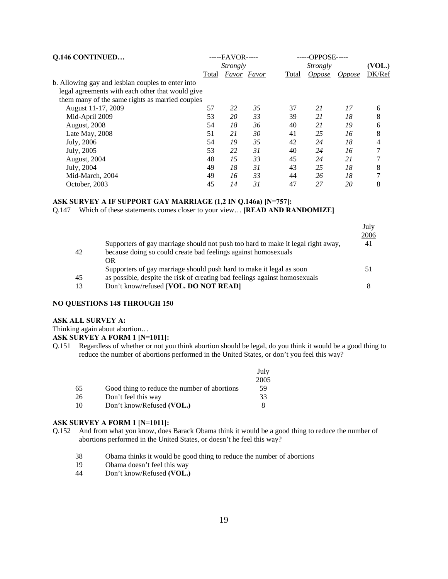| <b>Q.146 CONTINUED</b>                            |       | $---FAVOR---$ |                    |       | -----OPPOSE----- |               |        |
|---------------------------------------------------|-------|---------------|--------------------|-------|------------------|---------------|--------|
|                                                   |       | Strongly      |                    |       | Strongly         |               | (VOL.) |
|                                                   | Total |               | <b>Favor</b> Favor | Total | <i>Oppose</i>    | <i>Oppose</i> | DK/Ref |
| b. Allowing gay and lesbian couples to enter into |       |               |                    |       |                  |               |        |
| legal agreements with each other that would give  |       |               |                    |       |                  |               |        |
| them many of the same rights as married couples   |       |               |                    |       |                  |               |        |
| August 11-17, 2009                                | 57    | 22            | 35                 | 37    | 21               | 17            | 6      |
| Mid-April 2009                                    | 53    | 20            | 33                 | 39    | 21               | 18            | 8      |
| August, 2008                                      | 54    | 18            | 36                 | 40    | 21               | 19            | 6      |
| Late May, 2008                                    | 51    | 21            | 30                 | 41    | 25               | 16            | 8      |
| July, 2006                                        | 54    | 19            | 35                 | 42    | 24               | 18            | 4      |
| July, 2005                                        | 53    | 22            | 31                 | 40    | 24               | 16            | 7      |
| August, 2004                                      | 48    | 15            | 33                 | 45    | 24               | 21            |        |
| July, 2004                                        | 49    | 18            | 31                 | 43    | 25               | 18            | 8      |
| Mid-March, 2004                                   | 49    | 16            | 33                 | 44    | 26               | 18            |        |
| October, 2003                                     | 45    | 14            | 31                 | 47    | 27               | 20            | 8      |

#### **ASK SURVEY A IF SUPPORT GAY MARRIAGE (1,2 IN Q.146a) [N=757]:**

Q.147 Which of these statements comes closer to your view… **[READ AND RANDOMIZE]**

|    |                                                                                  | July<br>2006 |
|----|----------------------------------------------------------------------------------|--------------|
|    | Supporters of gay marriage should not push too hard to make it legal right away, | 41           |
| 42 | because doing so could create bad feelings against homosexuals                   |              |
|    | OR                                                                               |              |
|    | Supporters of gay marriage should push hard to make it legal as soon             |              |
| 45 | as possible, despite the risk of creating bad feelings against homosexuals       |              |
| 13 | Don't know/refused [VOL. DO NOT READ]                                            |              |
|    |                                                                                  |              |

#### **NO QUESTIONS 148 THROUGH 150**

#### **ASK ALL SURVEY A:**

Thinking again about abortion…

#### **ASK SURVEY A FORM 1 [N=1011]:**

Q.151 Regardless of whether or not you think abortion should be legal, do you think it would be a good thing to reduce the number of abortions performed in the United States, or don't you feel this way?

|    |                                              | July |
|----|----------------------------------------------|------|
|    |                                              | 2005 |
| 65 | Good thing to reduce the number of abortions | 59   |
| 26 | Don't feel this way                          | 33   |
| 10 | Don't know/Refused (VOL.)                    |      |

#### **ASK SURVEY A FORM 1 [N=1011]:**

- Q.152 And from what you know, does Barack Obama think it would be a good thing to reduce the number of abortions performed in the United States, or doesn't he feel this way?
	- 38 Obama thinks it would be good thing to reduce the number of abortions
	- 19 Obama doesn't feel this way
	- 44 Don't know/Refused **(VOL.)**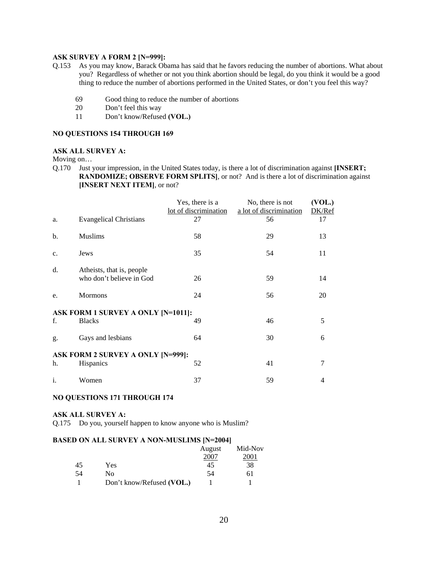#### **ASK SURVEY A FORM 2 [N=999]:**

- Q.153 As you may know, Barack Obama has said that he favors reducing the number of abortions. What about you? Regardless of whether or not you think abortion should be legal, do you think it would be a good thing to reduce the number of abortions performed in the United States, or don't you feel this way?
	- 69 Good thing to reduce the number of abortions
	- 20 Don't feel this way
	- 11 Don't know/Refused **(VOL.)**

#### **NO QUESTIONS 154 THROUGH 169**

#### **ASK ALL SURVEY A:**

Moving on…

Q.170 Just your impression, in the United States today, is there a lot of discrimination against **[INSERT; RANDOMIZE; OBSERVE FORM SPLITS]**, or not? And is there a lot of discrimination against **[INSERT NEXT ITEM]**, or not?

|                |                                                       | Yes, there is a<br>lot of discrimination | No, there is not<br>a lot of discrimination | (VOL.)<br>DK/Ref |
|----------------|-------------------------------------------------------|------------------------------------------|---------------------------------------------|------------------|
| a.             | <b>Evangelical Christians</b>                         | 27                                       | 56                                          | 17               |
| b.             | <b>Muslims</b>                                        | 58                                       | 29                                          | 13               |
| c.             | Jews                                                  | 35                                       | 54                                          | 11               |
| d.             | Atheists, that is, people<br>who don't believe in God | 26                                       | 59                                          | 14               |
| e.             | <b>Mormons</b>                                        | 24                                       | 56                                          | 20               |
|                | ASK FORM 1 SURVEY A ONLY [N=1011]:                    |                                          |                                             |                  |
| f.             | <b>Blacks</b>                                         | 49                                       | 46                                          | 5                |
| g.             | Gays and lesbians                                     | 64                                       | 30                                          | 6                |
|                | <b>ASK FORM 2 SURVEY A ONLY [N=999]:</b>              |                                          |                                             |                  |
| h.             | Hispanics                                             | 52                                       | 41                                          | 7                |
| $\mathbf{i}$ . | Women                                                 | 37                                       | 59                                          | 4                |

#### **NO QUESTIONS 171 THROUGH 174**

#### **ASK ALL SURVEY A:**

Q.175 Do you, yourself happen to know anyone who is Muslim?

#### **BASED ON ALL SURVEY A NON-MUSLIMS [N=2004]**

|    |                           | August | Mid-Nov |
|----|---------------------------|--------|---------|
|    |                           | 2007   | 001     |
| 45 | Yes                       | 45     | 38      |
| 54 | N٥                        | 54     | 61      |
|    | Don't know/Refused (VOL.) |        |         |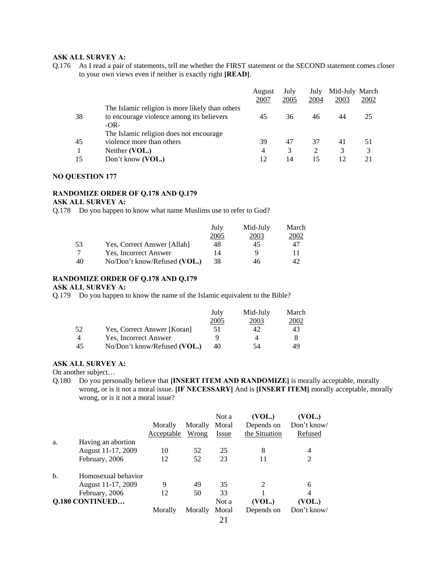# **ASK ALL SURVEY A:**

Q.176 As I read a pair of statements, tell me whether the FIRST statement or the SECOND statement comes closer to your own views even if neither is exactly right **[READ]**.

|    |                                                                                                        | August<br>2007 | July<br>2005 | July<br>2004 | Mid-July March<br>2003 | 2002 |
|----|--------------------------------------------------------------------------------------------------------|----------------|--------------|--------------|------------------------|------|
| 38 | The Islamic religion is more likely than others<br>to encourage violence among its believers<br>$-OR-$ | 45             | 36           | 46           | 44                     | 25   |
| 45 | The Islamic religion does not encourage.<br>violence more than others                                  | 39             | 47           | 37           | 41                     | 51   |
|    | Neither (VOL.)                                                                                         | 4              | 3            | 2            | 3                      | 3    |
| 15 | Don't know (VOL.)                                                                                      | 12             | 14           | 15           | 12                     | 21   |

#### **NO QUESTION 177**

#### **RANDOMIZE ORDER OF Q.178 AND Q.179**

#### **ASK ALL SURVEY A:**

Q.178 Do you happen to know what name Muslims use to refer to God?

|    |                              | July | Mid-July | March        |
|----|------------------------------|------|----------|--------------|
|    |                              | 2005 | 2003     | <u> 2002</u> |
| 53 | Yes, Correct Answer [Allah]  | 48   | 45       | 47           |
|    | Yes, Incorrect Answer        | 14   | u        |              |
| 40 | No/Don't know/Refused (VOL.) | 38   | 46       | 42           |

# **RANDOMIZE ORDER OF Q.178 AND Q.179**

**ASK ALL SURVEY A:** 

Q.179 Do you happen to know the name of the Islamic equivalent to the Bible?

|    |                              | July | Mid-July | March |
|----|------------------------------|------|----------|-------|
|    |                              | 2005 | 2003     | 2002  |
| 52 | Yes, Correct Answer [Koran]  | 51   |          | 43    |
| 4  | Yes, Incorrect Answer        | Q    |          |       |
| 45 | No/Don't know/Refused (VOL.) | 40   | 54       | 49    |

**ASK ALL SURVEY A:** 

On another subject…

Q.180 Do you personally believe that **[INSERT ITEM AND RANDOMIZE]** is morally acceptable, morally wrong, or is it not a moral issue. **[IF NECESSARY]** And is **[INSERT ITEM]** morally acceptable, morally wrong, or is it not a moral issue?

|                        |                     |            |         | Not a         | (VOL.)        | (VOL.)         |
|------------------------|---------------------|------------|---------|---------------|---------------|----------------|
|                        |                     | Morally    | Morally | Moral         | Depends on    | Don't know/    |
|                        |                     | Acceptable | Wrong   | Issue         | the Situation | Refused        |
| a.                     | Having an abortion  |            |         |               |               |                |
|                        | August 11-17, 2009  | 10         | 52      | 25            | 8             | 4              |
|                        | February, 2006      | 12         | 52      | 23            | 11            | $\overline{2}$ |
| b.                     | Homosexual behavior |            |         |               |               |                |
|                        | August 11-17, 2009  | 9          | 49      | 35            | 2             | 6              |
|                        | February, 2006      | 12         | 50      | 33            |               | 4              |
| <b>Q.180 CONTINUED</b> |                     |            |         | Not a         | (VOL.)        | (VOL.)         |
|                        |                     | Morally    | Morally | Moral         | Depends on    | Don't know/    |
|                        |                     |            |         | $\sim$ $\sim$ |               |                |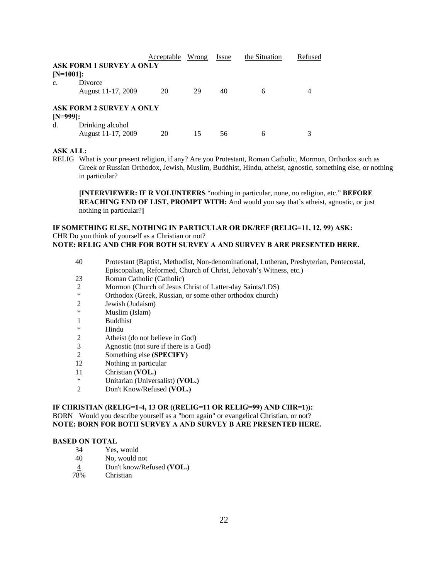|                |                                 | <b>Acceptable</b> Wrong |    | Issue | the Situation | Refused |
|----------------|---------------------------------|-------------------------|----|-------|---------------|---------|
|                | <b>ASK FORM 1 SURVEY A ONLY</b> |                         |    |       |               |         |
| $[N=1001]:$    |                                 |                         |    |       |               |         |
| $\mathbf{c}$ . | Divorce                         |                         |    |       |               |         |
|                | August 11-17, 2009              | 20                      | 29 | 40    | 6             |         |
|                | <b>ASK FORM 2 SURVEY A ONLY</b> |                         |    |       |               |         |
| $[N=999]:$     |                                 |                         |    |       |               |         |
| d.             | Drinking alcohol                |                         |    |       |               |         |
|                | August 11-17, 2009              | 20                      | 15 | 56    | 6             |         |

#### **ASK ALL:**

RELIG What is your present religion, if any? Are you Protestant, Roman Catholic, Mormon, Orthodox such as Greek or Russian Orthodox, Jewish, Muslim, Buddhist, Hindu, atheist, agnostic, something else, or nothing in particular?

**[INTERVIEWER: IF R VOLUNTEERS** "nothing in particular, none, no religion, etc." **BEFORE REACHING END OF LIST, PROMPT WITH:** And would you say that's atheist, agnostic, or just nothing in particular?**]** 

#### **IF SOMETHING ELSE, NOTHING IN PARTICULAR OR DK/REF (RELIG=11, 12, 99) ASK:**  CHR Do you think of yourself as a Christian or not? **NOTE: RELIG AND CHR FOR BOTH SURVEY A AND SURVEY B ARE PRESENTED HERE.**

- 40 Protestant (Baptist, Methodist, Non-denominational, Lutheran, Presbyterian, Pentecostal, Episcopalian, Reformed, Church of Christ, Jehovah's Witness, etc.)
- 23 Roman Catholic (Catholic)
- 2 Mormon (Church of Jesus Christ of Latter-day Saints/LDS)<br>
<sup>\*</sup> Orthodox (Graak, Bussian, or some other orthodox shursh)
- Orthodox (Greek, Russian, or some other orthodox church)
- 2 Jewish (Judaism)
- \* Muslim (Islam)
- 1 Buddhist
- \* Hindu
- 2 Atheist (do not believe in God)
- 3 Agnostic (not sure if there is a God)
- 2 Something else **(SPECIFY)**
- 12 Nothing in particular
- 11 Christian **(VOL.)**
- \* Unitarian (Universalist) **(VOL.)**
- 2 Don't Know/Refused **(VOL.)**

#### **IF CHRISTIAN (RELIG=1-4, 13 OR ((RELIG=11 OR RELIG=99) AND CHR=1)):**  BORN Would you describe yourself as a "born again" or evangelical Christian, or not? **NOTE: BORN FOR BOTH SURVEY A AND SURVEY B ARE PRESENTED HERE.**

#### **BASED ON TOTAL**

- 34 Yes, would<br>40 No. would r
- No, would not
- 4 Don't know/Refused **(VOL.)**
- 78% Christian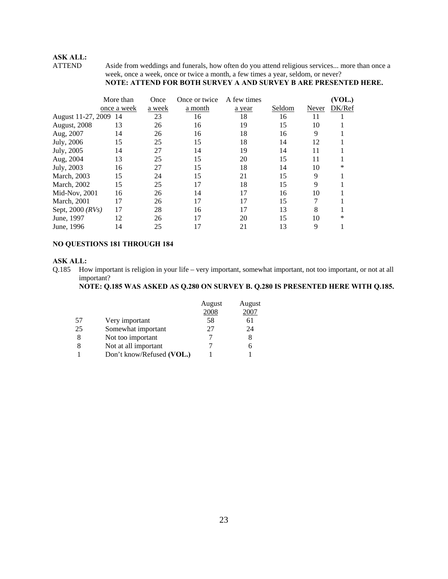# **ASK ALL:**

Aside from weddings and funerals, how often do you attend religious services... more than once a week, once a week, once or twice a month, a few times a year, seldom, or never?

# **NOTE: ATTEND FOR BOTH SURVEY A AND SURVEY B ARE PRESENTED HERE.**

|                       | More than   | Once   | Once or twice | A few times |        |       | VOL.)  |
|-----------------------|-------------|--------|---------------|-------------|--------|-------|--------|
|                       | once a week | a week | a month       | a year      | Seldom | Never | DK/Ref |
| August 11-27, 2009 14 |             | 23     | 16            | 18          | 16     | 11    |        |
| August, 2008          | 13          | 26     | 16            | 19          | 15     | 10    |        |
| Aug, 2007             | 14          | 26     | 16            | 18          | 16     | 9     |        |
| July, 2006            | 15          | 25     | 15            | 18          | 14     | 12    |        |
| July, 2005            | 14          | 27     | 14            | 19          | 14     | 11    |        |
| Aug, 2004             | 13          | 25     | 15            | 20          | 15     | 11    |        |
| July, 2003            | 16          | 27     | 15            | 18          | 14     | 10    | *      |
| March, 2003           | 15          | 24     | 15            | 21          | 15     | 9     |        |
| March, 2002           | 15          | 25     | 17            | 18          | 15     | 9     |        |
| Mid-Nov, 2001         | 16          | 26     | 14            | 17          | 16     | 10    |        |
| <b>March</b> , 2001   | 17          | 26     | 17            | 17          | 15     | 7     |        |
| Sept, 2000 (RVs)      | 17          | 28     | 16            | 17          | 13     | 8     |        |
| June, 1997            | 12          | 26     | 17            | 20          | 15     | 10    | *      |
| June, 1996            | 14          | 25     | 17            | 21          | 13     | 9     |        |

#### **NO QUESTIONS 181 THROUGH 184**

#### **ASK ALL:**

Q.185 How important is religion in your life – very important, somewhat important, not too important, or not at all important?

# **NOTE: Q.185 WAS ASKED AS Q.280 ON SURVEY B. Q.280 IS PRESENTED HERE WITH Q.185.**

|    |                           | August | August |
|----|---------------------------|--------|--------|
|    |                           | 2008   | 2007   |
| 57 | Very important            | 58     | 61     |
| 25 | Somewhat important        | 27     | 24     |
| 8  | Not too important         |        | 8      |
| 8  | Not at all important      |        | 6      |
|    | Don't know/Refused (VOL.) |        |        |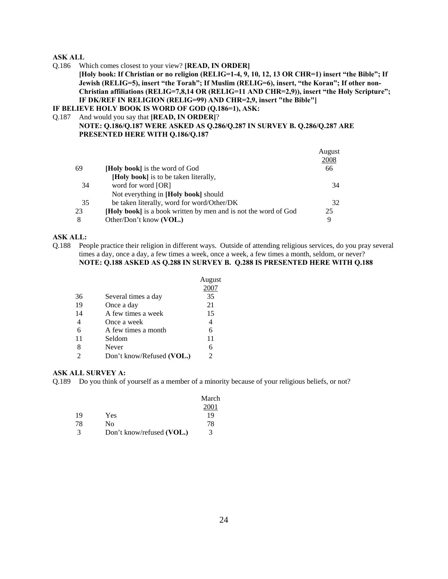#### **ASK ALL**

Q.186 Which comes closest to your view? **[READ, IN ORDER]**

**[Holy book: If Christian or no religion (RELIG=1-4, 9, 10, 12, 13 OR CHR=1) insert "the Bible"; If Jewish (RELIG=5), insert "the Torah"; If Muslim (RELIG=6), insert, "the Koran"; If other non-Christian affiliations (RELIG=7,8,14 OR (RELIG=11 AND CHR=2,9)), insert "the Holy Scripture"; IF DK/REF IN RELIGION (RELIG=99) AND CHR=2,9, insert "the Bible"]** 

**IF BELIEVE HOLY BOOK IS WORD OF GOD (Q.186=1), ASK:** 

#### Q.187 And would you say that **[READ, IN ORDER]**?

**NOTE: Q.186/Q.187 WERE ASKED AS Q.286/Q.287 IN SURVEY B. Q.286/Q.287 ARE PRESENTED HERE WITH Q.186/Q.187** 

|    |                                                                 | August |
|----|-----------------------------------------------------------------|--------|
|    |                                                                 | 2008   |
| 69 | <b>Holy book</b> is the word of God                             | 66     |
|    | [Holy book] is to be taken literally,                           |        |
| 34 | word for word [OR]                                              | 34     |
|    | Not everything in [Holy book] should                            |        |
| 35 | be taken literally, word for word/Other/DK                      | 32     |
| 23 | [Holy book] is a book written by men and is not the word of God | 25     |
| 8  | Other/Don't know (VOL.)                                         | 9      |
|    |                                                                 |        |

#### **ASK ALL:**

Q.188 People practice their religion in different ways. Outside of attending religious services, do you pray several times a day, once a day, a few times a week, once a week, a few times a month, seldom, or never? **NOTE: Q.188 ASKED AS Q.288 IN SURVEY B. Q.288 IS PRESENTED HERE WITH Q.188** 

|                           | August |
|---------------------------|--------|
|                           |        |
| Several times a day       | 35     |
| Once a day                | 21     |
| A few times a week        | 15     |
| Once a week               | 4      |
| A few times a month       | 6      |
| Seldom                    | 11     |
| Never                     | 6      |
| Don't know/Refused (VOL.) | 2      |
|                           |        |

#### **ASK ALL SURVEY A:**

Q.189 Do you think of yourself as a member of a minority because of your religious beliefs, or not?

|    |                           | March |
|----|---------------------------|-------|
|    |                           | 2001  |
| 19 | Yes                       | 19    |
| 78 | Nο                        | 78    |
| 3  | Don't know/refused (VOL.) | 3     |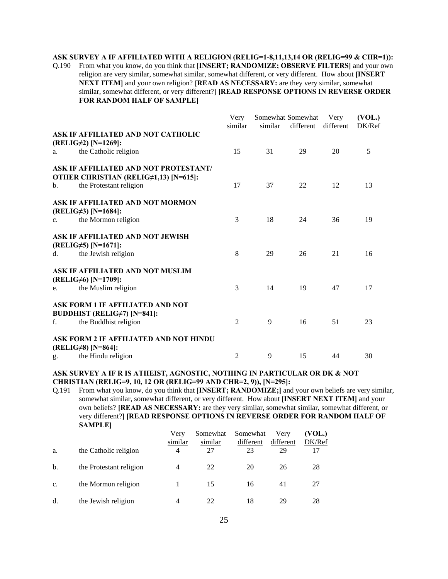#### **ASK SURVEY A IF AFFILIATED WITH A RELIGION (RELIG=1-8,11,13,14 OR (RELIG=99 & CHR=1)):**

Q.190 From what you know, do you think that **[INSERT; RANDOMIZE; OBSERVE FILTERS]** and your own religion are very similar, somewhat similar, somewhat different, or very different. How about **[INSERT NEXT ITEM]** and your own religion? **[READ AS NECESSARY:** are they very similar, somewhat similar, somewhat different, or very different?**] [READ RESPONSE OPTIONS IN REVERSE ORDER FOR RANDOM HALF OF SAMPLE]**

|             |                                        | Very    | Somewhat Somewhat |           | Very      | (VOL.) |  |
|-------------|----------------------------------------|---------|-------------------|-----------|-----------|--------|--|
|             |                                        | similar | similar           | different | different | DK/Ref |  |
|             | ASK IF AFFILIATED AND NOT CATHOLIC     |         |                   |           |           |        |  |
|             | (RELIG#2) [N=1269]:                    |         |                   |           |           |        |  |
| a.          | the Catholic religion                  | 15      | 31                | 29        | 20        | 5      |  |
|             | ASK IF AFFILIATED AND NOT PROTESTANT/  |         |                   |           |           |        |  |
|             | OTHER CHRISTIAN (RELIG#1,13) [N=615]:  |         |                   |           |           |        |  |
| b.          | the Protestant religion                | 17      | 37                | 22        | 12        | 13     |  |
|             | ASK IF AFFILIATED AND NOT MORMON       |         |                   |           |           |        |  |
|             | (RELIG $\neq$ 3) [N=1684]:             |         |                   |           |           |        |  |
| $C_{\star}$ | the Mormon religion                    | 3       | 18                | 24        | 36        | 19     |  |
|             | ASK IF AFFILIATED AND NOT JEWISH       |         |                   |           |           |        |  |
|             | (RELIG#5) [N=1671]:                    |         |                   |           |           |        |  |
| d.          | the Jewish religion                    | 8       | 29                | 26        | 21        | 16     |  |
|             | ASK IF AFFILIATED AND NOT MUSLIM       |         |                   |           |           |        |  |
|             | (RELIG#6) [N=1709]:                    |         |                   |           |           |        |  |
| e.          | the Muslim religion                    | 3       | 14                | 19        | 47        | 17     |  |
|             | ASK FORM 1 IF AFFILIATED AND NOT       |         |                   |           |           |        |  |
|             | <b>BUDDHIST (RELIG#7) [N=841]:</b>     |         |                   |           |           |        |  |
| f.          | the Buddhist religion                  | 2       | 9                 | 16        | 51        | 23     |  |
|             | ASK FORM 2 IF AFFILIATED AND NOT HINDU |         |                   |           |           |        |  |
|             | (RELIG $\neq$ 8) [N=864]:              |         |                   |           |           |        |  |
| g.          | the Hindu religion                     | 2       | 9                 | 15        | 44        | 30     |  |

#### **ASK SURVEY A IF R IS ATHEIST, AGNOSTIC, NOTHING IN PARTICULAR OR DK & NOT CHRISTIAN (RELIG=9, 10, 12 OR (RELIG=99 AND CHR=2, 9)), [N=295]:**

Q.191 From what you know, do you think that **[INSERT; RANDOMIZE;]** and your own beliefs are very similar, somewhat similar, somewhat different, or very different. How about **[INSERT NEXT ITEM]** and your own beliefs? **[READ AS NECESSARY:** are they very similar, somewhat similar, somewhat different, or very different?**] [READ RESPONSE OPTIONS IN REVERSE ORDER FOR RANDOM HALF OF SAMPLE]**

| a.             | the Catholic religion   | Very<br>similar<br>4 | Somewhat<br>similar<br>27 | Somewhat<br>different<br>23 | Verv<br>different<br>29 | (VOL.)<br>DK/Ref<br>17 |
|----------------|-------------------------|----------------------|---------------------------|-----------------------------|-------------------------|------------------------|
|                |                         |                      |                           |                             |                         |                        |
| b.             | the Protestant religion | 4                    | 22                        | 20                          | 26                      | 28                     |
| $\mathbf{c}$ . | the Mormon religion     |                      | 15                        | 16                          | 41                      | 27                     |
| d.             | the Jewish religion     | $\overline{4}$       | 22                        | 18                          | 29                      | 28                     |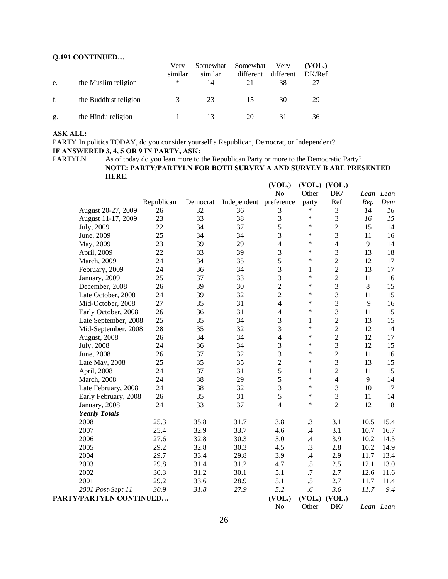# **Q.191 CONTINUED…**

| e. | the Muslim religion   | Verv<br>similar<br>* | Somewhat<br>similar<br>14 | Somewhat<br>different<br>21 | Very<br>different<br>38 | (VOL.)<br>DK/Ref<br>27 |
|----|-----------------------|----------------------|---------------------------|-----------------------------|-------------------------|------------------------|
| f. | the Buddhist religion |                      | 23                        | 15                          | 30                      | 29                     |
| g. | the Hindu religion    |                      |                           | 20                          | 31                      | 36                     |

# **ASK ALL:**

PARTY In politics TODAY, do you consider yourself a Republican, Democrat, or Independent? **IF ANSWERED 3, 4, 5 OR 9 IN PARTY, ASK:**

PARTYLN As of today do you lean more to the Republican Party or more to the Democratic Party? **NOTE: PARTY/PARTYLN FOR BOTH SURVEY A AND SURVEY B ARE PRESENTED HERE.**

|                                |            |                |                   | (VOL.)                   |                   | (VOL.) (VOL.)   |           |           |
|--------------------------------|------------|----------------|-------------------|--------------------------|-------------------|-----------------|-----------|-----------|
|                                | Republican |                |                   | No                       | Other             | DK/             | Lean Lean |           |
| August 20-27, 2009             | 26         | Democrat<br>32 | Independent<br>36 | preference<br>3          | party<br>$\ast$   | <b>Ref</b><br>3 | Rep<br>14 | Dem<br>16 |
| August 11-17, 2009             | 23         | 33             | 38                | 3                        | $\ast$            | 3               | 16        | 15        |
| July, 2009                     | 22         | 34             | 37                | 5                        | $\ast$            | $\overline{c}$  | 15        | 14        |
|                                | 25         | 34             | 34                | 3                        | $\ast$            | 3               | 11        | 16        |
| June, 2009                     | 23         | 39             | 29                | $\overline{\mathcal{L}}$ | *                 | 4               | 9         | 14        |
| May, 2009                      | 22         | 33             | 39                | 3                        | $\ast$            | 3               | 13        | 18        |
| April, 2009                    | 24         | 34             | 35                | 5                        | *                 | $\overline{c}$  | 12        | 17        |
| March, 2009                    | 24         | 36             | 34                |                          |                   |                 | 13        | 17        |
| February, 2009                 |            | 37             |                   | 3<br>3                   | $\mathbf{1}$<br>* | $\overline{c}$  |           |           |
| January, 2009                  | 25         |                | 33                | $\overline{2}$           | *                 | $\overline{c}$  | 11<br>8   | 16        |
| December, 2008                 | 26         | 39             | 30                |                          | *                 | 3               |           | 15        |
| Late October, 2008             | 24         | 39             | 32                | $\overline{2}$           | *                 | 3               | 11        | 15        |
| Mid-October, 2008              | 27         | 35             | 31                | 4                        | $\ast$            | 3               | 9         | 16        |
| Early October, 2008            | 26         | 36             | 31                | $\overline{4}$           |                   | 3               | 11        | 15        |
| Late September, 2008           | 25         | 35             | 34                | 3                        | 1<br>$\ast$       | $\overline{2}$  | 13        | 15        |
| Mid-September, 2008            | 28         | 35             | 32                | 3                        |                   | $\overline{c}$  | 12        | 14        |
| August, 2008                   | 26         | 34             | 34                | 4                        | $\ast$            | $\overline{c}$  | 12        | 17        |
| July, 2008                     | 24         | 36             | 34                | 3                        | $\ast$            | 3               | 12        | 15        |
| June, 2008                     | 26         | 37             | 32                | 3                        | $\ast$            | $\overline{c}$  | 11        | 16        |
| Late May, 2008                 | 25         | 35             | 35                | $\overline{2}$           | $\ast$            | 3               | 13        | 15        |
| April, 2008                    | 24         | 37             | 31                | 5                        | 1                 | $\overline{c}$  | 11        | 15        |
| <b>March</b> , 2008            | 24         | 38             | 29                | 5                        | $\ast$            | $\overline{4}$  | 9         | 14        |
| Late February, 2008            | 24         | 38             | 32                | 3                        | $\ast$            | 3               | 10        | 17        |
| Early February, 2008           | 26         | 35             | 31                | 5                        | $\ast$            | 3               | 11        | 14        |
| January, 2008                  | 24         | 33             | 37                | $\overline{4}$           | *                 | $\overline{2}$  | 12        | 18        |
| <b>Yearly Totals</b>           |            |                |                   |                          |                   |                 |           |           |
| 2008                           | 25.3       | 35.8           | 31.7              | 3.8                      | .3                | 3.1             | 10.5      | 15.4      |
| 2007                           | 25.4       | 32.9           | 33.7              | 4.6                      | .4                | 3.1             | 10.7      | 16.7      |
| 2006                           | 27.6       | 32.8           | 30.3              | 5.0                      | $\cdot$ 4         | 3.9             | 10.2      | 14.5      |
| 2005                           | 29.2       | 32.8           | 30.3              | 4.5                      | .3                | 2.8             | 10.2      | 14.9      |
| 2004                           | 29.7       | 33.4           | 29.8              | 3.9                      | $\mathcal{A}$     | 2.9             | 11.7      | 13.4      |
| 2003                           | 29.8       | 31.4           | 31.2              | 4.7                      | .5                | 2.5             | 12.1      | 13.0      |
| 2002                           | 30.3       | 31.2           | 30.1              | 5.1                      | .7                | 2.7             | 12.6      | 11.6      |
| 2001                           | 29.2       | 33.6           | 28.9              | 5.1                      | .5                | 2.7             | 11.7      | 11.4      |
| 2001 Post-Sept 11              | 30.9       | 31.8           | 27.9              | 5.2                      | .6                | 3.6             | 11.7      | 9.4       |
| <b>PARTY/PARTYLN CONTINUED</b> |            |                |                   | (VOL.)                   | (VOL.)            | (VOL.)          |           |           |

No Other DK/ *Lean Lean*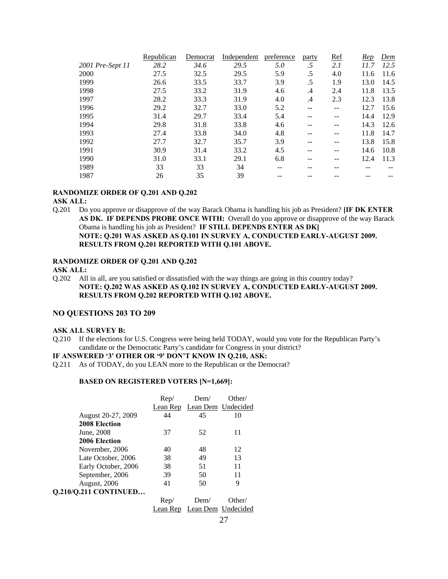|                  | Republican | Democrat | Independent | preference | party         | <b>Ref</b>        | Rep  | Dem  |
|------------------|------------|----------|-------------|------------|---------------|-------------------|------|------|
| 2001 Pre-Sept 11 | 28.2       | 34.6     | 29.5        | 5.0        | .5            | 2.1               | 11.7 | 12.5 |
| 2000             | 27.5       | 32.5     | 29.5        | 5.9        | .5            | 4.0               | 11.6 | 11.6 |
| 1999             | 26.6       | 33.5     | 33.7        | 3.9        | .5            | 1.9               | 13.0 | 14.5 |
| 1998             | 27.5       | 33.2     | 31.9        | 4.6        | .4            | 2.4               | 11.8 | 13.5 |
| 1997             | 28.2       | 33.3     | 31.9        | 4.0        | $\mathcal{A}$ | 2.3               | 12.3 | 13.8 |
| 1996             | 29.2       | 32.7     | 33.0        | 5.2        |               | $\qquad \qquad -$ | 12.7 | 15.6 |
| 1995             | 31.4       | 29.7     | 33.4        | 5.4        |               |                   | 14.4 | 12.9 |
| 1994             | 29.8       | 31.8     | 33.8        | 4.6        |               |                   | 14.3 | 12.6 |
| 1993             | 27.4       | 33.8     | 34.0        | 4.8        |               |                   | 11.8 | 14.7 |
| 1992             | 27.7       | 32.7     | 35.7        | 3.9        |               |                   | 13.8 | 15.8 |
| 1991             | 30.9       | 31.4     | 33.2        | 4.5        | --            |                   | 14.6 | 10.8 |
| 1990             | 31.0       | 33.1     | 29.1        | 6.8        |               |                   | 12.4 | 11.3 |
| 1989             | 33         | 33       | 34          | --         |               |                   |      |      |
| 1987             | 26         | 35       | 39          |            |               |                   |      |      |
|                  |            |          |             |            |               |                   |      |      |

#### **RANDOMIZE ORDER OF Q.201 AND Q.202**

#### **ASK ALL:**

Q.201 Do you approve or disapprove of the way Barack Obama is handling his job as President? **[IF DK ENTER AS DK. IF DEPENDS PROBE ONCE WITH:** Overall do you approve or disapprove of the way Barack Obama is handling his job as President? **IF STILL DEPENDS ENTER AS DK] NOTE: Q.201 WAS ASKED AS Q.101 IN SURVEY A, CONDUCTED EARLY-AUGUST 2009. RESULTS FROM Q.201 REPORTED WITH Q.101 ABOVE.** 

#### **RANDOMIZE ORDER OF Q.201 AND Q.202**

#### **ASK ALL:**

Q.202 All in all, are you satisfied or dissatisfied with the way things are going in this country today? **NOTE: Q.202 WAS ASKED AS Q.102 IN SURVEY A, CONDUCTED EARLY-AUGUST 2009. RESULTS FROM Q.202 REPORTED WITH Q.102 ABOVE.**

## **NO QUESTIONS 203 TO 209**

#### **ASK ALL SURVEY B:**

Q.210 If the elections for U.S. Congress were being held TODAY, would you vote for the Republican Party's candidate or the Democratic Party's candidate for Congress in your district?

#### **IF ANSWERED '3' OTHER OR '9' DON'T KNOW IN Q.210, ASK:**

Q.211 As of TODAY, do you LEAN more to the Republican or the Democrat?

#### **BASED ON REGISTERED VOTERS [N=1,669]:**

|                              | Rep/     | Dem/               | Other/             |
|------------------------------|----------|--------------------|--------------------|
|                              | Lean Rep | Lean Dem Undecided |                    |
| August 20-27, 2009           | 44       | 45                 | 10                 |
| 2008 Election                |          |                    |                    |
| June, 2008                   | 37       | 52                 | 11                 |
| 2006 Election                |          |                    |                    |
| November, 2006               | 40       | 48                 | 12                 |
| Late October, 2006           | 38       | 49                 | 13                 |
| Early October, 2006          | 38       | 51                 | 11                 |
| September, 2006              | 39       | 50                 | 11                 |
| August, 2006                 | 41       | 50                 | 9                  |
| <b>Q.210/Q.211 CONTINUED</b> |          |                    |                    |
|                              | Rep/     | Dem/               | Other/             |
|                              | Lean Rep |                    | Lean Dem Undecided |
|                              |          |                    |                    |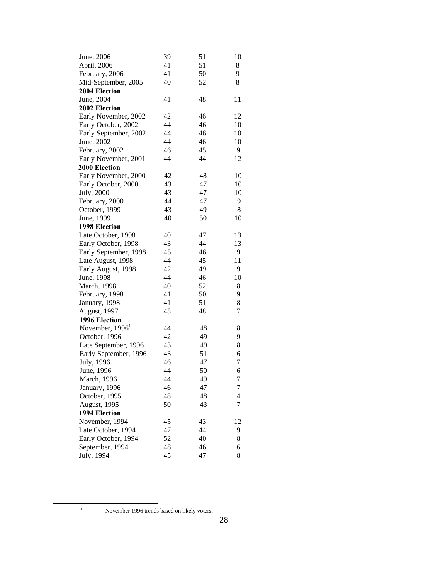| June, 2006                   | 39 | 51 | 10 |
|------------------------------|----|----|----|
| April, 2006                  | 41 | 51 | 8  |
| February, 2006               | 41 | 50 | 9  |
| Mid-September, 2005          | 40 | 52 | 8  |
| 2004 Election                |    |    |    |
| June, 2004                   | 41 | 48 | 11 |
| 2002 Election                |    |    |    |
| Early November, 2002         | 42 | 46 | 12 |
| Early October, 2002          | 44 | 46 | 10 |
| Early September, 2002        | 44 | 46 | 10 |
| June, 2002                   | 44 | 46 | 10 |
| February, 2002               | 46 | 45 | 9  |
| Early November, 2001         | 44 | 44 | 12 |
| 2000 Election                |    |    |    |
| Early November, 2000         | 42 | 48 | 10 |
| Early October, 2000          | 43 | 47 | 10 |
| July, 2000                   | 43 | 47 | 10 |
| February, 2000               | 44 | 47 | 9  |
| October, 1999                | 43 | 49 | 8  |
| June, 1999                   | 40 | 50 | 10 |
| 1998 Election                |    |    |    |
| Late October, 1998           | 40 | 47 | 13 |
| Early October, 1998          | 43 | 44 | 13 |
| Early September, 1998        | 45 | 46 | 9  |
| Late August, 1998            | 44 | 45 | 11 |
| Early August, 1998           | 42 | 49 | 9  |
| June, 1998                   | 44 | 46 | 10 |
| March, 1998                  | 40 | 52 | 8  |
| February, 1998               | 41 | 50 | 9  |
| January, 1998                | 41 | 51 | 8  |
| August, 1997                 | 45 | 48 | 7  |
| 1996 Election                |    |    |    |
| November, 1996 <sup>11</sup> | 44 | 48 | 8  |
| October, 1996                | 42 | 49 | 9  |
| Late September, 1996         | 43 | 49 | 8  |
| Early September, 1996        | 43 | 51 | 6  |
| July, 1996                   | 46 | 47 | 7  |
| June, 1996                   | 44 | 50 | 6  |
| March, 1996                  | 44 | 49 | 7  |
| January, 1996                | 46 | 47 | 7  |
| October, 1995                | 48 | 48 | 4  |
| August, 1995                 | 50 | 43 | 7  |
| 1994 Election                |    |    |    |
| November, 1994               | 45 | 43 | 12 |
| Late October, 1994           | 47 | 44 | 9  |
| Early October, 1994          | 52 | 40 | 8  |
| September, 1994              | 48 | 46 | 6  |
| July, 1994                   | 45 | 47 | 8  |

 <sup>11</sup> November 1996 trends based on likely voters.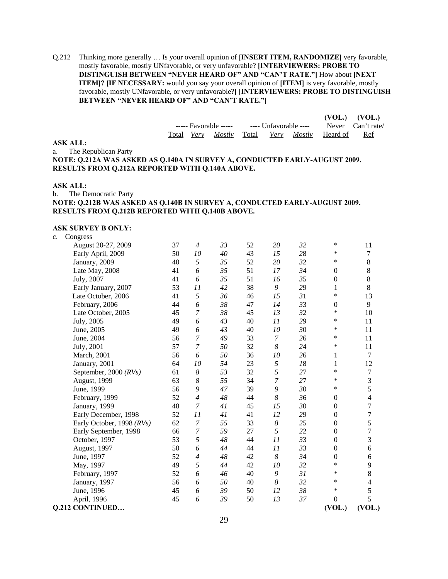Q.212 Thinking more generally … Is your overall opinion of **[INSERT ITEM, RANDOMIZE]** very favorable, mostly favorable, mostly UNfavorable, or very unfavorable? **[INTERVIEWERS: PROBE TO DISTINGUISH BETWEEN "NEVER HEARD OF" AND "CAN'T RATE."]** How about **[NEXT ITEM]? [IF NECESSARY:** would you say your overall opinion of **[ITEM]** is very favorable, mostly favorable, mostly UNfavorable, or very unfavorable?**] [INTERVIEWERS: PROBE TO DISTINGUISH BETWEEN "NEVER HEARD OF" AND "CAN'T RATE."]**

|                                                                            |  |                   |                                                               |  |  |  |          | $(VOL.)$ $(VOL.)$ |  |
|----------------------------------------------------------------------------|--|-------------------|---------------------------------------------------------------|--|--|--|----------|-------------------|--|
|                                                                            |  |                   | ----- Favorable ----- ---- Unfavorable ---- Never Can't rate/ |  |  |  |          |                   |  |
|                                                                            |  | Total <i>Verv</i> | Mostly Total Very Mostly                                      |  |  |  | Heard of | Ref               |  |
| <b>ASK ALL:</b>                                                            |  |                   |                                                               |  |  |  |          |                   |  |
| a. The Republican Party                                                    |  |                   |                                                               |  |  |  |          |                   |  |
| NOTE: 0.212A WAS ASKED AS 0.140A IN SURVEY A, CONDUCTED EARLY-AUGUST 2009. |  |                   |                                                               |  |  |  |          |                   |  |
| RESULTS FROM Q.212A REPORTED WITH Q.140A ABOVE.                            |  |                   |                                                               |  |  |  |          |                   |  |
|                                                                            |  |                   |                                                               |  |  |  |          |                   |  |

#### **ASK ALL:**

# b. The Democratic Party **NOTE: Q.212B WAS ASKED AS Q.140B IN SURVEY A, CONDUCTED EARLY-AUGUST 2009. RESULTS FROM Q.212B REPORTED WITH Q.140B ABOVE.**

#### **ASK SURVEY B ONLY:**

| c. | Congress                  |    |                |    |    |                |    |                  |                          |
|----|---------------------------|----|----------------|----|----|----------------|----|------------------|--------------------------|
|    | August 20-27, 2009        | 37 | $\overline{4}$ | 33 | 52 | 20             | 32 | ∗                | 11                       |
|    | Early April, 2009         | 50 | 10             | 40 | 43 | 15             | 28 | *                | 7                        |
|    | January, 2009             | 40 | 5              | 35 | 52 | 20             | 32 | *                | $\,8\,$                  |
|    | Late May, 2008            | 41 | 6              | 35 | 51 | 17             | 34 | $\theta$         | $\,8\,$                  |
|    | July, 2007                | 41 | 6              | 35 | 51 | 16             | 35 | $\boldsymbol{0}$ | $\,8\,$                  |
|    | Early January, 2007       | 53 | 11             | 42 | 38 | 9              | 29 | $\mathbf{1}$     | $\,8\,$                  |
|    | Late October, 2006        | 41 | 5              | 36 | 46 | 15             | 31 | $\ast$           | 13                       |
|    | February, 2006            | 44 | 6              | 38 | 47 | 14             | 33 | $\boldsymbol{0}$ | 9                        |
|    | Late October, 2005        | 45 | $\overline{7}$ | 38 | 45 | 13             | 32 | *                | 10                       |
|    | July, 2005                | 49 | 6              | 43 | 40 | 11             | 29 | *                | 11                       |
|    | June, 2005                | 49 | 6              | 43 | 40 | 10             | 30 | *                | 11                       |
|    | June, 2004                | 56 | 7              | 49 | 33 | $\overline{7}$ | 26 | *                | 11                       |
|    | July, 2001                | 57 | $\overline{7}$ | 50 | 32 | 8              | 24 | ∗                | 11                       |
|    | March, 2001               | 56 | 6              | 50 | 36 | 10             | 26 | 1                | 7                        |
|    | January, 2001             | 64 | 10             | 54 | 23 | 5              | 18 | 1                | 12                       |
|    | September, 2000 $(RVs)$   | 61 | 8              | 53 | 32 | 5              | 27 | *                | $\boldsymbol{7}$         |
|    | August, 1999              | 63 | 8              | 55 | 34 | $\overline{7}$ | 27 | ∗                | 3                        |
|    | June, 1999                | 56 | 9              | 47 | 39 | 9              | 30 | *                | 5                        |
|    | February, 1999            | 52 | $\overline{4}$ | 48 | 44 | 8              | 36 | $\boldsymbol{0}$ | $\overline{\mathcal{L}}$ |
|    | January, 1999             | 48 | 7              | 41 | 45 | 15             | 30 | $\boldsymbol{0}$ | $\overline{7}$           |
|    | Early December, 1998      | 52 | 11             | 41 | 41 | 12             | 29 | $\theta$         | $\overline{7}$           |
|    | Early October, 1998 (RVs) | 62 | $\overline{7}$ | 55 | 33 | 8              | 25 | $\boldsymbol{0}$ | 5                        |
|    | Early September, 1998     | 66 | 7              | 59 | 27 | 5              | 22 | $\boldsymbol{0}$ | $\overline{7}$           |
|    | October, 1997             | 53 | 5              | 48 | 44 | 11             | 33 | $\boldsymbol{0}$ | 3                        |
|    | August, 1997              | 50 | 6              | 44 | 44 | 11             | 33 | $\boldsymbol{0}$ | 6                        |
|    | June, 1997                | 52 | $\overline{4}$ | 48 | 42 | 8              | 34 | $\boldsymbol{0}$ | 6                        |
|    | May, 1997                 | 49 | 5              | 44 | 42 | 10             | 32 | ∗                | 9                        |
|    | February, 1997            | 52 | 6              | 46 | 40 | 9              | 31 | ∗                | 8                        |
|    | January, 1997             | 56 | 6              | 50 | 40 | 8              | 32 | ∗                | $\overline{4}$           |
|    | June, 1996                | 45 | 6              | 39 | 50 | 12             | 38 | ∗                | 5                        |
|    | April, 1996               | 45 | 6              | 39 | 50 | 13             | 37 | $\boldsymbol{0}$ | 5                        |
|    | <b>Q.212 CONTINUED</b>    |    |                |    |    |                |    | (VOL.)           | (VOL.)                   |
|    |                           |    |                |    |    |                |    |                  |                          |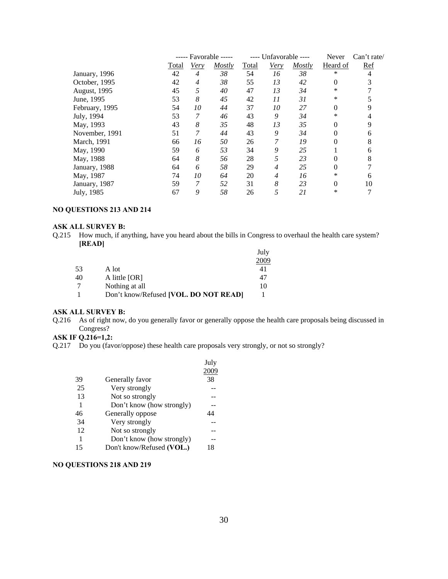|                |       | Favorable -----<br>----- |        | ---- Unfavorable ---- |                |        | Never    | Can't rate/ |
|----------------|-------|--------------------------|--------|-----------------------|----------------|--------|----------|-------------|
|                | Total | Very                     | Mostly | Total                 | <b>Very</b>    | Mostly | Heard of | <b>Ref</b>  |
| January, 1996  | 42    | $\overline{4}$           | 38     | 54                    | 16             | 38     | *        | 4           |
| October, 1995  | 42    | 4                        | 38     | 55                    | 13             | 42     | $\theta$ |             |
| August, 1995   | 45    | 5                        | 40     | 47                    | 13             | 34     | *        |             |
| June, 1995     | 53    | $\boldsymbol{8}$         | 45     | 42                    | 11             | 31     | $\ast$   |             |
| February, 1995 | 54    | 10                       | 44     | 37                    | 10             | 27     | 0        | 9           |
| July, 1994     | 53    | 7                        | 46     | 43                    | 9              | 34     | $\ast$   |             |
| May, 1993      | 43    | 8                        | 35     | 48                    | 13             | 35     | $\theta$ | 9           |
| November, 1991 | 51    | 7                        | 44     | 43                    | 9              | 34     | $\theta$ | 6           |
| March, 1991    | 66    | 16                       | 50     | 26                    | 7              | 19     | $\theta$ | 8           |
| May, 1990      | 59    | 6                        | 53     | 34                    | 9              | 25     |          | 6           |
| May, 1988      | 64    | $\boldsymbol{8}$         | 56     | 28                    | 5              | 23     | 0        | 8           |
| January, 1988  | 64    | 6                        | 58     | 29                    | 4              | 25     | 0        |             |
| May, 1987      | 74    | 10                       | 64     | 20                    | $\overline{4}$ | 16     | *        | 6           |
| January, 1987  | 59    | 7                        | 52     | 31                    | 8              | 23     | $\theta$ | 10          |
| July, 1985     | 67    | 9                        | 58     | 26                    | 5              | 21     | *        |             |

# **NO QUESTIONS 213 AND 214**

# **ASK ALL SURVEY B:**

Q.215 How much, if anything, have you heard about the bills in Congress to overhaul the health care system? **[READ]**

|    |                                       | July |
|----|---------------------------------------|------|
|    |                                       | 2009 |
| 53 | A lot                                 | 41   |
| 40 | A little [OR]                         | 47   |
| 7  | Nothing at all                        | 10   |
|    | Don't know/Refused [VOL. DO NOT READ] |      |

# **ASK ALL SURVEY B:**

Q.216 As of right now, do you generally favor or generally oppose the health care proposals being discussed in Congress?

# **ASK IF Q.216=1,2:**

Q.217 Do you (favor/oppose) these health care proposals very strongly, or not so strongly?

|                           | July |
|---------------------------|------|
|                           | 2009 |
| Generally favor           | 38   |
| Very strongly             |      |
| Not so strongly           |      |
| Don't know (how strongly) |      |
| Generally oppose          | 14   |
| Very strongly             |      |
| Not so strongly           |      |
| Don't know (how strongly) |      |
| Don't know/Refused (VOL.) | 18   |
|                           |      |

# **NO QUESTIONS 218 AND 219**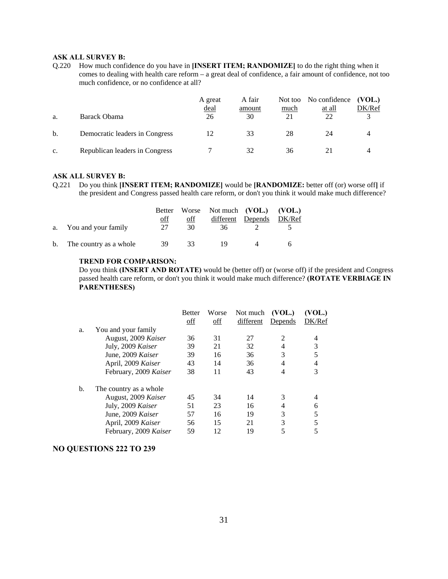#### **ASK ALL SURVEY B:**

Q.220 How much confidence do you have in **[INSERT ITEM; RANDOMIZE]** to do the right thing when it comes to dealing with health care reform – a great deal of confidence, a fair amount of confidence, not too much confidence, or no confidence at all?

| a. | Barack Obama                   | A great<br><u>deal</u><br>26 | A fair<br>amount<br>30 | much | Not too No confidence<br>at all<br>22 | (VOL.)<br>DK/Ref |
|----|--------------------------------|------------------------------|------------------------|------|---------------------------------------|------------------|
| b. | Democratic leaders in Congress |                              | 33                     | 28   | 24                                    |                  |
| c. | Republican leaders in Congress |                              | 32                     | 36   |                                       |                  |

#### **ASK ALL SURVEY B:**

Q.221 Do you think **[INSERT ITEM; RANDOMIZE]** would be **[RANDOMIZE:** better off (or) worse off**]** if the president and Congress passed health care reform, or don't you think it would make much difference?

|    |                        |     |     | Better Worse Not much (VOL.) (VOL.) |                   |        |
|----|------------------------|-----|-----|-------------------------------------|-------------------|--------|
|    |                        | off | off |                                     | different Depends | DK/Ref |
|    | a. You and your family | 27  | 30  | 36                                  |                   |        |
| b. | The country as a whole | 39  | 33  | 19                                  |                   |        |

#### **TREND FOR COMPARISON:**

Do you think **(INSERT AND ROTATE)** would be (better off) or (worse off) if the president and Congress passed health care reform, or don't you think it would make much difference? **(ROTATE VERBIAGE IN PARENTHESES)**

|    |                         | <b>Better</b> | Worse | Not much  | (VOL.)  | (VOL.) |
|----|-------------------------|---------------|-------|-----------|---------|--------|
|    |                         | off           | off   | different | Depends | DK/Ref |
| a. | You and your family     |               |       |           |         |        |
|    | August, 2009 Kaiser     | 36            | 31    | 27        | 2       | 4      |
|    | July, 2009 Kaiser       | 39            | 21    | 32        | 4       | 3      |
|    | June, 2009 Kaiser       | 39            | 16    | 36        | 3       |        |
|    | April, 2009 Kaiser      | 43            | 14    | 36        | 4       | 4      |
|    | February, 2009 Kaiser   | 38            | 11    | 43        | 4       | 3      |
| b. | The country as a whole. |               |       |           |         |        |
|    | August, 2009 Kaiser     | 45            | 34    | 14        | 3       |        |
|    | July, 2009 Kaiser       | 51            | 23    | 16        | 4       | 6      |
|    | June, 2009 Kaiser       | 57            | 16    | 19        | 3       |        |
|    | April, 2009 Kaiser      | 56            | 15    | 21        | 3       |        |
|    | February, 2009 Kaiser   | 59            | 12    | 19        |         |        |

#### **NO QUESTIONS 222 TO 239**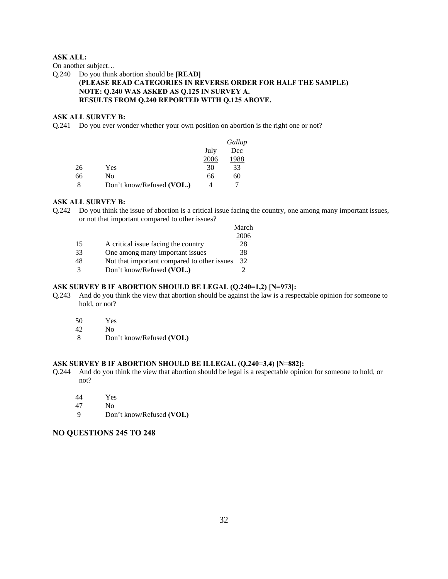# **ASK ALL:**

On another subject…

#### Q.240 Do you think abortion should be **[READ] (PLEASE READ CATEGORIES IN REVERSE ORDER FOR HALF THE SAMPLE) NOTE: Q.240 WAS ASKED AS Q.125 IN SURVEY A. RESULTS FROM Q.240 REPORTED WITH Q.125 ABOVE.**

# **ASK ALL SURVEY B:**

Q.241 Do you ever wonder whether your own position on abortion is the right one or not?

|    |                           |      | Gallup |
|----|---------------------------|------|--------|
|    |                           | July | Dec    |
|    |                           | 2006 | 1988   |
| 26 | Yes                       | 30   | 33     |
| 66 | No                        | 66   | 60     |
|    | Don't know/Refused (VOL.) | 4    |        |

# **ASK ALL SURVEY B:**

Q.242 Do you think the issue of abortion is a critical issue facing the country, one among many important issues, or not that important compared to other issues?

|    |                                             | March |
|----|---------------------------------------------|-------|
|    |                                             | 2006  |
| 15 | A critical issue facing the country         | 28    |
| 33 | One among many important issues             | 38    |
| 48 | Not that important compared to other issues | 32    |
|    | Don't know/Refused (VOL.)                   |       |

# **ASK SURVEY B IF ABORTION SHOULD BE LEGAL (Q.240=1,2) [N=973]:**

- Q.243 And do you think the view that abortion should be against the law is a respectable opinion for someone to hold, or not?
	- 50 Yes
	- 42 No
	- 8 Don't know/Refused **(VOL)**

#### **ASK SURVEY B IF ABORTION SHOULD BE ILLEGAL (Q.240=3,4) [N=882]:**

- Q.244 And do you think the view that abortion should be legal is a respectable opinion for someone to hold, or not?
	- 44 Yes
	- 47 No
	- 9 Don't know/Refused **(VOL)**

# **NO QUESTIONS 245 TO 248**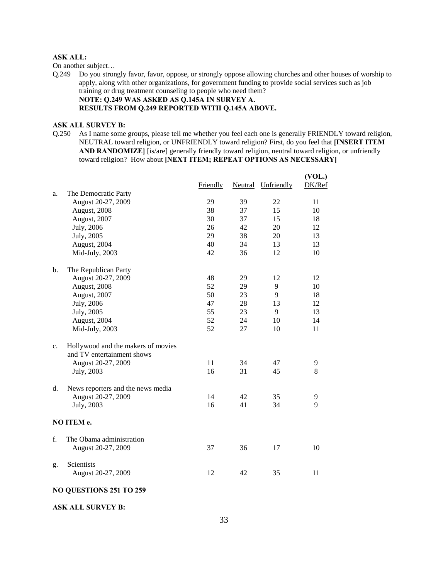#### **ASK ALL:**

On another subject…

Q.249 Do you strongly favor, favor, oppose, or strongly oppose allowing churches and other houses of worship to apply, along with other organizations, for government funding to provide social services such as job training or drug treatment counseling to people who need them? **NOTE: Q.249 WAS ASKED AS Q.145A IN SURVEY A. RESULTS FROM Q.249 REPORTED WITH Q.145A ABOVE.**

#### **ASK ALL SURVEY B:**

Q.250 As I name some groups, please tell me whether you feel each one is generally FRIENDLY toward religion, NEUTRAL toward religion, or UNFRIENDLY toward religion? First, do you feel that **[INSERT ITEM AND RANDOMIZE]** [is/are] generally friendly toward religion, neutral toward religion, or unfriendly toward religion? How about **[NEXT ITEM; REPEAT OPTIONS AS NECESSARY]** 

|                |                                    | Friendly |    | Neutral Unfriendly | (VOL.)<br>DK/Ref |
|----------------|------------------------------------|----------|----|--------------------|------------------|
| a.             | The Democratic Party               |          |    |                    |                  |
|                | August 20-27, 2009                 | 29       | 39 | 22                 | 11               |
|                | August, 2008                       | 38       | 37 | 15                 | 10               |
|                | August, 2007                       | 30       | 37 | 15                 | 18               |
|                | July, 2006                         | 26       | 42 | 20                 | 12               |
|                | July, 2005                         | 29       | 38 | 20                 | 13               |
|                | August, 2004                       | 40       | 34 | 13                 | 13               |
|                | Mid-July, 2003                     | 42       | 36 | 12                 | 10               |
| $\mathbf{b}$ . | The Republican Party               |          |    |                    |                  |
|                | August 20-27, 2009                 | 48       | 29 | 12                 | 12               |
|                | August, 2008                       | 52       | 29 | 9                  | 10               |
|                | August, 2007                       | 50       | 23 | 9                  | 18               |
|                | July, 2006                         | 47       | 28 | 13                 | 12               |
|                | July, 2005                         | 55       | 23 | 9                  | 13               |
|                | August, 2004                       | 52       | 24 | 10                 | 14               |
|                | Mid-July, 2003                     | 52       | 27 | 10                 | 11               |
| $c_{\cdot}$    | Hollywood and the makers of movies |          |    |                    |                  |
|                | and TV entertainment shows         |          |    |                    |                  |
|                | August 20-27, 2009                 | 11       | 34 | 47                 | 9                |
|                | July, 2003                         | 16       | 31 | 45                 | 8                |
| d.             | News reporters and the news media  |          |    |                    |                  |
|                | August 20-27, 2009                 | 14       | 42 | 35                 | 9                |
|                | July, 2003                         | 16       | 41 | 34                 | 9                |
|                | NO ITEM e.                         |          |    |                    |                  |
| f.             | The Obama administration           |          |    |                    |                  |
|                | August 20-27, 2009                 | 37       | 36 | 17                 | 10               |
| g.             | Scientists<br>August 20-27, 2009   | 12       | 42 | 35                 | 11               |
|                |                                    |          |    |                    |                  |

# **NO QUESTIONS 251 TO 259**

**ASK ALL SURVEY B:**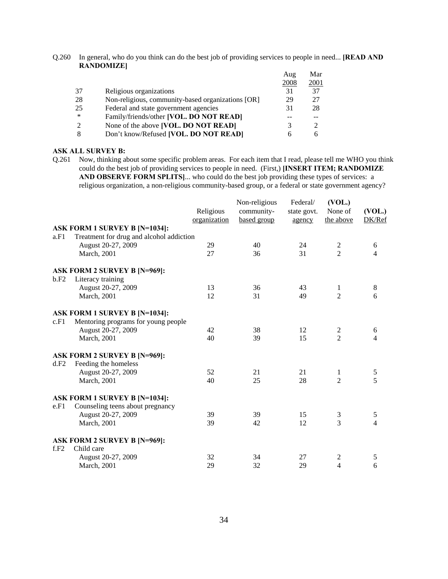Q.260 In general, who do you think can do the best job of providing services to people in need... **[READ AND RANDOMIZE]** 

|    |                                                   | Aug  | Mar  |
|----|---------------------------------------------------|------|------|
|    |                                                   | 2008 | 2001 |
| 37 | Religious organizations                           | 31   | 37   |
| 28 | Non-religious, community-based organizations [OR] | 29   | 27   |
| 25 | Federal and state government agencies             | 31   | 28   |
| *  | Family/friends/other [VOL. DO NOT READ]           |      |      |
| 2  | None of the above [VOL. DO NOT READ]              |      |      |
| 8  | Don't know/Refused [VOL. DO NOT READ]             |      | h    |

#### **ASK ALL SURVEY B:**

Q.261 Now, thinking about some specific problem areas. For each item that I read, please tell me WHO you think could do the best job of providing services to people in need. (First,) **[INSERT ITEM; RANDOMIZE AND OBSERVE FORM SPLITS]**... who could do the best job providing these types of services: a religious organization, a non-religious community-based group, or a federal or state government agency?

|      |                                          | Religious<br>organization | Non-religious<br>community-<br>based group | Federal/<br>state govt.<br>agency | (VOL.)<br>None of<br>the above | (VOL.)<br>DK/Ref |
|------|------------------------------------------|---------------------------|--------------------------------------------|-----------------------------------|--------------------------------|------------------|
|      | <b>ASK FORM 1 SURVEY B [N=1034]:</b>     |                           |                                            |                                   |                                |                  |
| a.F1 | Treatment for drug and alcohol addiction |                           |                                            |                                   |                                |                  |
|      | August 20-27, 2009                       | 29                        | 40                                         | 24                                | $\overline{c}$                 | 6                |
|      | March, 2001                              | 27                        | 36                                         | 31                                | $\overline{2}$                 | $\overline{4}$   |
|      | ASK FORM 2 SURVEY B [N=969]:             |                           |                                            |                                   |                                |                  |
| b.F2 | Literacy training                        |                           |                                            |                                   |                                |                  |
|      | August 20-27, 2009                       | 13                        | 36                                         | 43                                | 1                              | 8                |
|      | March, 2001                              | 12                        | 31                                         | 49                                | $\overline{2}$                 | 6                |
|      | <b>ASK FORM 1 SURVEY B [N=1034]:</b>     |                           |                                            |                                   |                                |                  |
| c.F1 | Mentoring programs for young people      |                           |                                            |                                   |                                |                  |
|      | August 20-27, 2009                       | 42                        | 38                                         | 12                                | 2                              | 6                |
|      | March, 2001                              | 40                        | 39                                         | 15                                | $\overline{2}$                 | $\overline{4}$   |
|      | <b>ASK FORM 2 SURVEY B [N=969]:</b>      |                           |                                            |                                   |                                |                  |
| d.F2 | Feeding the homeless                     |                           |                                            |                                   |                                |                  |
|      | August 20-27, 2009                       | 52                        | 21                                         | 21                                | 1                              | $\mathfrak s$    |
|      | March, 2001                              | 40                        | 25                                         | 28                                | $\overline{2}$                 | 5                |
|      | <b>ASK FORM 1 SURVEY B [N=1034]:</b>     |                           |                                            |                                   |                                |                  |
| e.F1 | Counseling teens about pregnancy         |                           |                                            |                                   |                                |                  |
|      | August 20-27, 2009                       | 39                        | 39                                         | 15                                | 3                              | $\mathfrak s$    |
|      | March, 2001                              | 39                        | 42                                         | 12                                | 3                              | $\overline{4}$   |
|      | <b>ASK FORM 2 SURVEY B [N=969]:</b>      |                           |                                            |                                   |                                |                  |
| f.F2 | Child care                               |                           |                                            |                                   |                                |                  |
|      | August 20-27, 2009                       | 32                        | 34                                         | 27                                | 2                              | 5                |
|      | March, 2001                              | 29                        | 32                                         | 29                                | $\overline{4}$                 | 6                |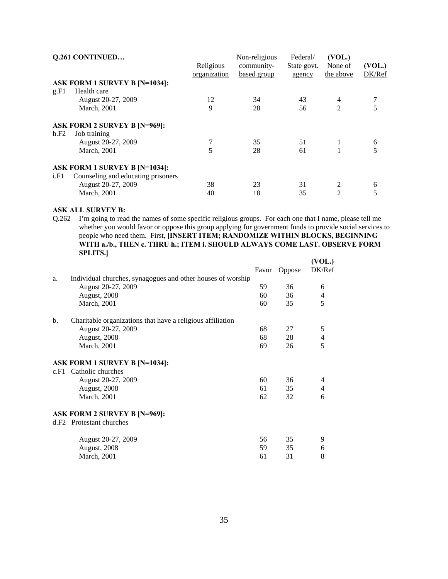| <b>Q.261 CONTINUED</b>               |                    | Non-religious | Federal/    | (VOL.)         |           |
|--------------------------------------|--------------------|---------------|-------------|----------------|-----------|
|                                      | Religious          | community-    | State govt. | None of        | (VOL.)    |
|                                      |                    |               |             |                | DK/Ref    |
| <b>ASK FORM 1 SURVEY B [N=1034]:</b> |                    |               |             |                |           |
| Health care                          |                    |               |             |                |           |
| August 20-27, 2009                   | 12                 | 34            | 43          | 4              |           |
| March, 2001                          | 9                  | 28            | 56          | 2              | 5         |
| <b>ASK FORM 2 SURVEY B [N=969]:</b>  |                    |               |             |                |           |
| Job training                         |                    |               |             |                |           |
|                                      |                    | 35            | 51          | 1              | 6         |
| March, 2001                          | 5                  | 28            | 61          |                | 5         |
| ASK FORM 1 SURVEY B [N=1034]:        |                    |               |             |                |           |
| Counseling and educating prisoners   |                    |               |             |                |           |
| August 20-27, 2009                   | 38                 | 23            | 31          | 2              | 6         |
| March, 2001                          | 40                 | 18            | 35          | $\overline{2}$ | 5         |
|                                      | August 20-27, 2009 | organization  | based group | agency         | the above |

# **ASK ALL SURVEY B:**

Q.262 I'm going to read the names of some specific religious groups. For each one that I name, please tell me whether you would favor or oppose this group applying for government funds to provide social services to people who need them. First, **[INSERT ITEM; RANDOMIZE WITHIN BLOCKS, BEGINNING WITH a./b., THEN c. THRU h.; ITEM i. SHOULD ALWAYS COME LAST. OBSERVE FORM SPLITS.]** 

|    |                                                             | Favor | <b>Oppose</b> | (VOL.)<br>DK/Ref         |
|----|-------------------------------------------------------------|-------|---------------|--------------------------|
| a. | Individual churches, synagogues and other houses of worship |       |               |                          |
|    | August 20-27, 2009                                          | 59    | 36            | 6                        |
|    | August, 2008                                                | 60    | 36            | 4                        |
|    | <b>March</b> , 2001                                         | 60    | 35            | 5                        |
| b. | Charitable organizations that have a religious affiliation  |       |               |                          |
|    | August 20-27, 2009                                          | 68    | 27            | 5                        |
|    | August, 2008                                                | 68    | 28            | $\overline{\mathcal{L}}$ |
|    | March, 2001                                                 | 69    | 26            | 5                        |
|    | <b>ASK FORM 1 SURVEY B [N=1034]:</b>                        |       |               |                          |
|    | c.F1 Catholic churches                                      |       |               |                          |
|    | August 20-27, 2009                                          | 60    | 36            | 4                        |
|    | August, 2008                                                | 61    | 35            | 4                        |
|    | March, 2001                                                 | 62    | 32            | 6                        |
|    | <b>ASK FORM 2 SURVEY B [N=969]:</b>                         |       |               |                          |
|    | d.F <sub>2</sub> Protestant churches                        |       |               |                          |
|    | August 20-27, 2009                                          | 56    | 35            | 9                        |
|    | August, 2008                                                | 59    | 35            | 6                        |
|    | <b>March</b> , 2001                                         | 61    | 31            | 8                        |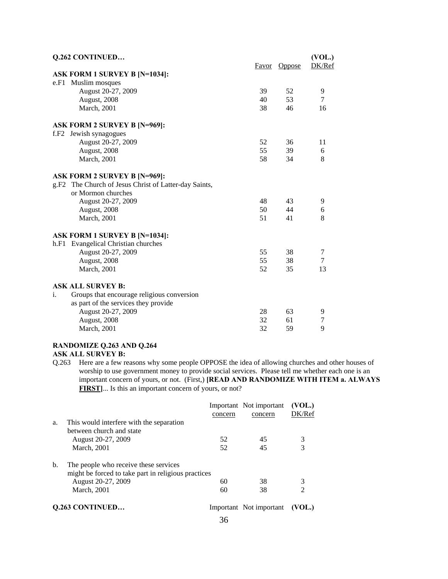| Q.262 CONTINUED                                              |       |               | (VOL.) |
|--------------------------------------------------------------|-------|---------------|--------|
|                                                              | Favor | <b>Oppose</b> | DK/Ref |
| <b>ASK FORM 1 SURVEY B [N=1034]:</b>                         |       |               |        |
| Muslim mosques<br>e.F1                                       |       |               |        |
| August 20-27, 2009                                           | 39    | 52            | 9      |
| August, 2008                                                 | 40    | 53            | 7      |
| March, 2001                                                  | 38    | 46            | 16     |
| <b>ASK FORM 2 SURVEY B [N=969]:</b>                          |       |               |        |
| f.F2 Jewish synagogues                                       |       |               |        |
| August 20-27, 2009                                           | 52    | 36            | 11     |
| August, 2008                                                 | 55    | 39            | 6      |
| <b>March</b> , 2001                                          | 58    | 34            | 8      |
| <b>ASK FORM 2 SURVEY B [N=969]:</b>                          |       |               |        |
| g.F2 The Church of Jesus Christ of Latter-day Saints,        |       |               |        |
| or Mormon churches                                           |       |               |        |
| August 20-27, 2009                                           | 48    | 43            | 9      |
| August, 2008                                                 | 50    | 44            | 6      |
| March, 2001                                                  | 51    | 41            | 8      |
| <b>ASK FORM 1 SURVEY B [N=1034]:</b>                         |       |               |        |
| h.F1 Evangelical Christian churches                          |       |               |        |
| August 20-27, 2009                                           | 55    | 38            | 7      |
| August, 2008                                                 | 55    | 38            | 7      |
| March, 2001                                                  | 52    | 35            | 13     |
| <b>ASK ALL SURVEY B:</b>                                     |       |               |        |
| $\mathbf{i}$ .<br>Groups that encourage religious conversion |       |               |        |
| as part of the services they provide                         |       |               |        |
| August 20-27, 2009                                           | 28    | 63            | 9      |
| August, 2008                                                 | 32    | 61            | 7      |
| March, 2001                                                  | 32    | 59            | 9      |
| RANDOMIZE Q.263 AND Q.264                                    |       |               |        |

# **ASK ALL SURVEY B:**

Q.263 Here are a few reasons why some people OPPOSE the idea of allowing churches and other houses of worship to use government money to provide social services. Please tell me whether each one is an important concern of yours, or not. (First,) **[READ AND RANDOMIZE WITH ITEM a. ALWAYS FIRST]**... Is this an important concern of yours, or not?

|    |                                                                                              |         | Important Not important | (VOL.) |
|----|----------------------------------------------------------------------------------------------|---------|-------------------------|--------|
|    |                                                                                              | concern | concern                 | DK/Ref |
| a. | This would interfere with the separation<br>between church and state                         |         |                         |        |
|    | August 20-27, 2009                                                                           | 52      | 45                      | 3      |
|    | <b>March</b> , 2001                                                                          | 52      | 45                      | 3      |
| b. | The people who receive these services<br>might be forced to take part in religious practices |         |                         |        |
|    | August 20-27, 2009                                                                           | 60      | 38                      | 3      |
|    | <b>March</b> , 2001                                                                          | 60      | 38                      | 2      |
|    | <b>O.263 CONTINUED</b>                                                                       |         | Important Not important |        |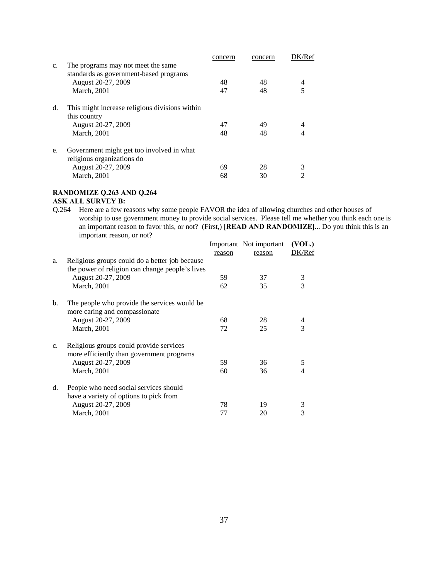|    |                                                | concern | concern | K/Ref |
|----|------------------------------------------------|---------|---------|-------|
| c. | The programs may not meet the same             |         |         |       |
|    | standards as government-based programs         |         |         |       |
|    | August 20-27, 2009                             | 48      | 48      | 4     |
|    | <b>March</b> , 2001                            | 47      | 48      |       |
| d. | This might increase religious divisions within |         |         |       |
|    | this country                                   |         |         |       |
|    | August 20-27, 2009                             | 47      | 49      |       |
|    | <b>March</b> , 2001                            | 48      | 48      |       |
| e. | Government might get too involved in what      |         |         |       |
|    | religious organizations do                     |         |         |       |
|    | August 20-27, 2009                             | 69      | 28      | 3     |
|    | <b>March</b> , 2001                            | 68      | 30      |       |
|    |                                                |         |         |       |

# **RANDOMIZE Q.263 AND Q.264**

# **ASK ALL SURVEY B:**

Q.264 Here are a few reasons why some people FAVOR the idea of allowing churches and other houses of worship to use government money to provide social services. Please tell me whether you think each one is an important reason to favor this, or not? (First,) **[READ AND RANDOMIZE]**... Do you think this is an important reason, or not?

|                |                                                 |        | Important Not important | (VOL.) |
|----------------|-------------------------------------------------|--------|-------------------------|--------|
|                |                                                 | reason | reason                  | DK/Ref |
| a.             | Religious groups could do a better job because  |        |                         |        |
|                | the power of religion can change people's lives |        |                         |        |
|                | August 20-27, 2009                              | 59     | 37                      | 3      |
|                | <b>March</b> , 2001                             | 62     | 35                      | 3      |
| $\mathbf{b}$ . | The people who provide the services would be    |        |                         |        |
|                | more caring and compassionate                   |        |                         |        |
|                | August 20-27, 2009                              | 68     | 28                      | 4      |
|                | <b>March</b> , 2001                             | 72     | 25                      | 3      |
| c.             | Religious groups could provide services         |        |                         |        |
|                | more efficiently than government programs       |        |                         |        |
|                | August 20-27, 2009                              | 59     | 36                      | 5      |
|                | <b>March</b> , 2001                             | 60     | 36                      |        |
| d.             | People who need social services should          |        |                         |        |
|                | have a variety of options to pick from          |        |                         |        |
|                | August 20-27, 2009                              | 78     | 19                      | 3      |
|                | <b>March</b> , 2001                             | 77     | 20                      | 3      |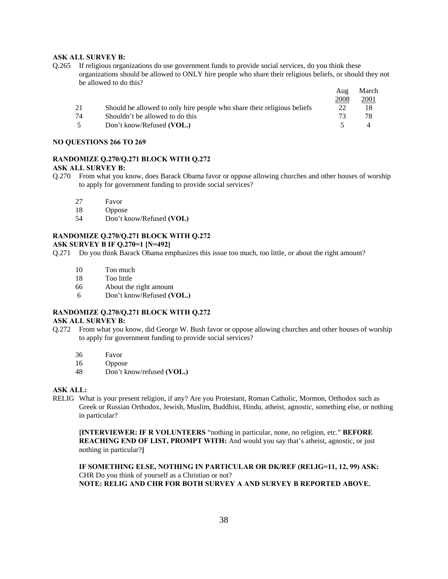#### **ASK ALL SURVEY B:**

Q.265 If religious organizations do use government funds to provide social services, do you think these organizations should be allowed to ONLY hire people who share their religious beliefs, or should they not be allowed to do this?

|    |                                                                         | Aug  | March        |
|----|-------------------------------------------------------------------------|------|--------------|
|    |                                                                         | 2008 | <u> 2001</u> |
| 21 | Should be allowed to only hire people who share their religious beliefs | 22   |              |
| 74 | Shouldn't be allowed to do this                                         | 73   | 78           |
|    | Don't know/Refused (VOL.)                                               |      |              |

#### **NO QUESTIONS 266 TO 269**

# **RANDOMIZE Q.270/Q.271 BLOCK WITH Q.272**

# **ASK ALL SURVEY B:**

- Q.270 From what you know, does Barack Obama favor or oppose allowing churches and other houses of worship to apply for government funding to provide social services?
	- 27 Favor
	- 18 Oppose
	- 54 Don't know/Refused **(VOL)**

# **RANDOMIZE Q.270/Q.271 BLOCK WITH Q.272**

# **ASK SURVEY B IF Q.270=1 [N=492]**

Q.271 Do you think Barack Obama emphasizes this issue too much, too little, or about the right amount?

- 10 Too much
- 18 Too little
- 66 About the right amount
- 6 Don't know/Refused **(VOL.)**

# **RANDOMIZE Q.270/Q.271 BLOCK WITH Q.272**

# **ASK ALL SURVEY B:**

- Q.272 From what you know, did George W. Bush favor or oppose allowing churches and other houses of worship to apply for government funding to provide social services?
	- 36 Favor
	- 16 Oppose
	- 48 Don't know/refused **(VOL.)**

#### **ASK ALL:**

RELIG What is your present religion, if any? Are you Protestant, Roman Catholic, Mormon, Orthodox such as Greek or Russian Orthodox, Jewish, Muslim, Buddhist, Hindu, atheist, agnostic, something else, or nothing in particular?

**[INTERVIEWER: IF R VOLUNTEERS** "nothing in particular, none, no religion, etc." **BEFORE REACHING END OF LIST, PROMPT WITH:** And would you say that's atheist, agnostic, or just nothing in particular?**]** 

**IF SOMETHING ELSE, NOTHING IN PARTICULAR OR DK/REF (RELIG=11, 12, 99) ASK:**  CHR Do you think of yourself as a Christian or not? **NOTE: RELIG AND CHR FOR BOTH SURVEY A AND SURVEY B REPORTED ABOVE.**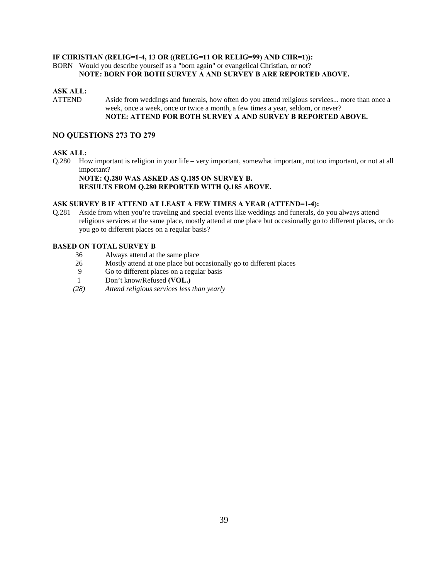#### **IF CHRISTIAN (RELIG=1-4, 13 OR ((RELIG=11 OR RELIG=99) AND CHR=1)):**

BORN Would you describe yourself as a "born again" or evangelical Christian, or not? **NOTE: BORN FOR BOTH SURVEY A AND SURVEY B ARE REPORTED ABOVE.** 

#### **ASK ALL:**

ATTEND Aside from weddings and funerals, how often do you attend religious services... more than once a week, once a week, once or twice a month, a few times a year, seldom, or never? **NOTE: ATTEND FOR BOTH SURVEY A AND SURVEY B REPORTED ABOVE.** 

#### **NO QUESTIONS 273 TO 279**

#### **ASK ALL:**

Q.280 How important is religion in your life – very important, somewhat important, not too important, or not at all important?

#### **NOTE: Q.280 WAS ASKED AS Q.185 ON SURVEY B. RESULTS FROM Q.280 REPORTED WITH Q.185 ABOVE.**

#### **ASK SURVEY B IF ATTEND AT LEAST A FEW TIMES A YEAR (ATTEND=1-4):**

Q.281 Aside from when you're traveling and special events like weddings and funerals, do you always attend religious services at the same place, mostly attend at one place but occasionally go to different places, or do you go to different places on a regular basis?

#### **BASED ON TOTAL SURVEY B**

- 36 Always attend at the same place
- 26 Mostly attend at one place but occasionally go to different places
- 9 Go to different places on a regular basis
- 1 Don't know/Refused **(VOL.)**
- *(28) Attend religious services less than yearly*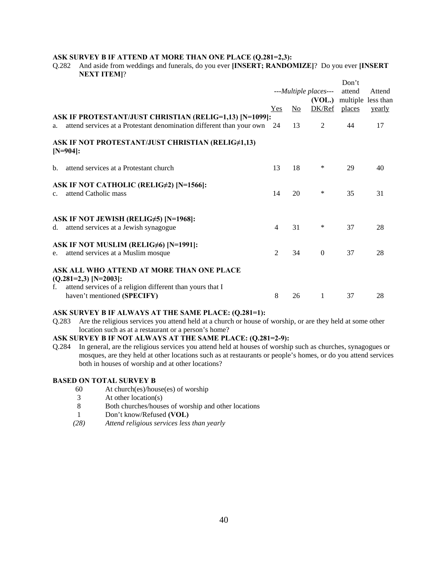#### **ASK SURVEY B IF ATTEND AT MORE THAN ONE PLACE (Q.281=2,3):**

Q.282 And aside from weddings and funerals, do you ever **[INSERT; RANDOMIZE]**? Do you ever **[INSERT NEXT ITEM]**?

|             |                                                                                                                                   |                       |     |              | Don't  |                    |
|-------------|-----------------------------------------------------------------------------------------------------------------------------------|-----------------------|-----|--------------|--------|--------------------|
|             |                                                                                                                                   | ---Multiple places--- |     |              | attend | Attend             |
|             |                                                                                                                                   |                       |     | (VOL.)       |        | multiple less than |
|             |                                                                                                                                   | Yes                   | No. | DK/Ref       | places | yearly             |
|             | ASK IF PROTESTANT/JUST CHRISTIAN (RELIG=1,13) [N=1099]:                                                                           |                       |     |              |        |                    |
| a.          | attend services at a Protestant denomination different than your own                                                              | 24                    | 13  | 2            | 44     | 17                 |
|             | ASK IF NOT PROTESTANT/JUST CHRISTIAN (RELIG#1,13)<br>$[N=904]:$                                                                   |                       |     |              |        |                    |
| b.          | attend services at a Protestant church                                                                                            | 13                    | 18  | $\ast$       | 29     | 40                 |
| $c_{\cdot}$ | ASK IF NOT CATHOLIC (RELIG#2) [N=1566]:<br>attend Catholic mass                                                                   | 14                    | 20  | ∗            | 35     | 31                 |
|             | ASK IF NOT JEWISH (RELIG#5) [N=1968]:<br>d. attend services at a Jewish synagogue                                                 | 4                     | 31  | ∗            | 37     | 28                 |
|             | ASK IF NOT MUSLIM (RELIG#6) [N=1991]:                                                                                             |                       |     |              |        |                    |
| e.          | attend services at a Muslim mosque                                                                                                | 2                     | 34  | $\mathbf{0}$ | 37     | 28                 |
| f.          | ASK ALL WHO ATTEND AT MORE THAN ONE PLACE<br>$(Q.281=2,3)$ [N=2003]:<br>attend services of a religion different than yours that I |                       |     |              |        |                    |
|             | haven't mentioned (SPECIFY)                                                                                                       | 8                     | 26  | 1            | 37     | 28                 |

#### **ASK SURVEY B IF ALWAYS AT THE SAME PLACE: (Q.281=1):**

Q.283 Are the religious services you attend held at a church or house of worship, or are they held at some other location such as at a restaurant or a person's home?

# **ASK SURVEY B IF NOT ALWAYS AT THE SAME PLACE: (Q.281=2-9):**

Q.284 In general, are the religious services you attend held at houses of worship such as churches, synagogues or mosques, are they held at other locations such as at restaurants or people's homes, or do you attend services both in houses of worship and at other locations?

#### **BASED ON TOTAL SURVEY B**

- 60 At church(es)/house(es) of worship
- 3 At other location(s)<br>8 Both churches/house
- 8 Both churches/houses of worship and other locations
- 1 Don't know/Refused **(VOL)**
- *(28) Attend religious services less than yearly*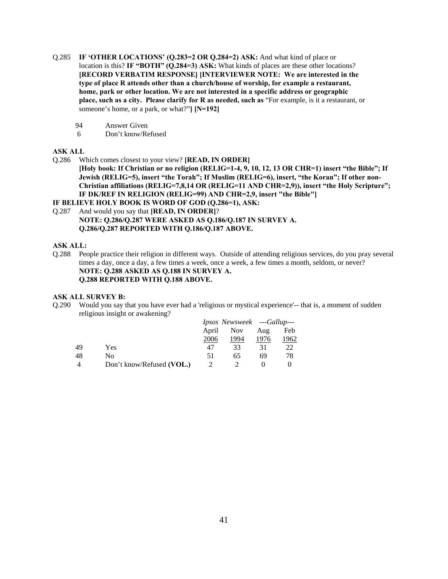- Q.285 **IF 'OTHER LOCATIONS' (Q.283=2 OR Q.284=2) ASK:** And what kind of place or location is this? **IF "BOTH" (Q.284=3) ASK:** What kinds of places are these other locations? **[RECORD VERBATIM RESPONSE] [INTERVIEWER NOTE: We are interested in the type of place R attends other than a church/house of worship, for example a restaurant, home, park or other location. We are not interested in a specific address or geographic place, such as a city. Please clarify for R as needed, such as** "For example, is it a restaurant, or someone's home, or a park, or what?"**] [N=192]** 
	- 94 Answer Given
	- 6 Don't know/Refused

#### **ASK ALL**

Q.286 Which comes closest to your view? **[READ, IN ORDER]**

**[Holy book: If Christian or no religion (RELIG=1-4, 9, 10, 12, 13 OR CHR=1) insert "the Bible"; If Jewish (RELIG=5), insert "the Torah"; If Muslim (RELIG=6), insert, "the Koran"; If other non-Christian affiliations (RELIG=7,8,14 OR (RELIG=11 AND CHR=2,9)), insert "the Holy Scripture"; IF DK/REF IN RELIGION (RELIG=99) AND CHR=2,9, insert "the Bible"]** 

**IF BELIEVE HOLY BOOK IS WORD OF GOD (Q.286=1), ASK:** 

Q.287 And would you say that **[READ, IN ORDER]**? **NOTE: Q.286/Q.287 WERE ASKED AS Q.186/Q.187 IN SURVEY A. Q.286/Q.287 REPORTED WITH Q.186/Q.187 ABOVE.** 

#### **ASK ALL:**

Q.288 People practice their religion in different ways. Outside of attending religious services, do you pray several times a day, once a day, a few times a week, once a week, a few times a month, seldom, or never? **NOTE: Q.288 ASKED AS Q.188 IN SURVEY A. Q.288 REPORTED WITH Q.188 ABOVE.** 

#### **ASK ALL SURVEY B:**

Q.290 Would you say that you have ever had a 'religious or mystical experience'-- that is, a moment of sudden religious insight or awakening?

|    |                           | Ipsos Newsweek ---Gallup--- |            |      |      |
|----|---------------------------|-----------------------------|------------|------|------|
|    |                           | April                       | <b>Nov</b> | Aug  | Feb  |
|    |                           | 2006                        | 1994       | 1976 | 1962 |
| 49 | Yes                       | 47                          | 33         | 31   | 22   |
| 48 | No                        | 51                          | 65         | 69   | 78   |
|    | Don't know/Refused (VOL.) |                             |            |      |      |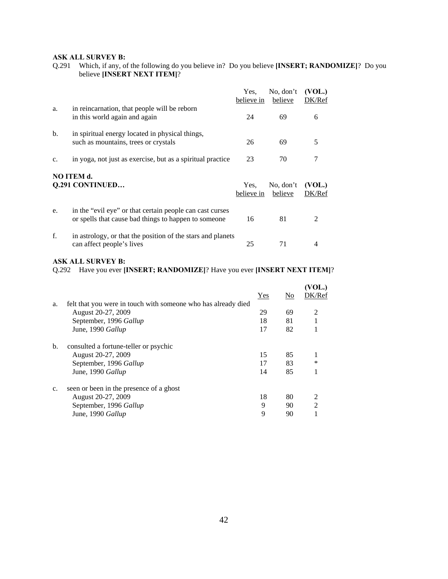# **ASK ALL SURVEY B:**

Q.291 Which, if any, of the following do you believe in? Do you believe **[INSERT; RANDOMIZE]**? Do you believe **[INSERT NEXT ITEM]**?

|             |                                                                                                                   | Yes.<br>believe in | No, don't<br>believe | (VOL.)<br>DK/Ref |
|-------------|-------------------------------------------------------------------------------------------------------------------|--------------------|----------------------|------------------|
| a.          | in reincarnation, that people will be reborn<br>in this world again and again                                     | 24                 | 69                   | 6                |
| b.          | in spiritual energy located in physical things,<br>such as mountains, trees or crystals                           | 26                 | 69                   | 5                |
| $C_{\star}$ | in yoga, not just as exercise, but as a spiritual practice                                                        | 23                 | 70                   | 7                |
|             | <b>NO ITEM d.</b><br><b>Q.291 CONTINUED</b>                                                                       | Yes.<br>believe in | No, don't<br>believe | (VOL.)<br>DK/Ref |
| e.          | in the "evil eye" or that certain people can cast curses<br>or spells that cause bad things to happen to some one | 16                 | 81                   | $\mathfrak{D}$   |
| f.          | in astrology, or that the position of the stars and planets<br>can affect people's lives                          | 25                 | 71                   | 4                |

#### **ASK ALL SURVEY B:**

Q.292 Have you ever **[INSERT; RANDOMIZE]**? Have you ever **[INSERT NEXT ITEM]**?

|    |                                                               |     |                | (VOL.)        |
|----|---------------------------------------------------------------|-----|----------------|---------------|
|    |                                                               | Yes | N <sub>0</sub> | DK/Ref        |
| a. | felt that you were in touch with someone who has already died |     |                |               |
|    | August 20-27, 2009                                            | 29  | 69             | 2             |
|    | September, 1996 Gallup                                        | 18  | 81             |               |
|    | June, 1990 Gallup                                             | 17  | 82             |               |
| b. | consulted a fortune-teller or psychic                         |     |                |               |
|    | August 20-27, 2009                                            | 15  | 85             |               |
|    | September, 1996 Gallup                                        | 17  | 83             | ∗             |
|    | June, 1990 Gallup                                             | 14  | 85             |               |
| c. | seen or been in the presence of a ghost                       |     |                |               |
|    | August 20-27, 2009                                            | 18  | 80             | 2             |
|    | September, 1996 Gallup                                        | 9   | 90             | $\mathcal{L}$ |
|    | June, 1990 Gallup                                             | 9   | 90             |               |
|    |                                                               |     |                |               |